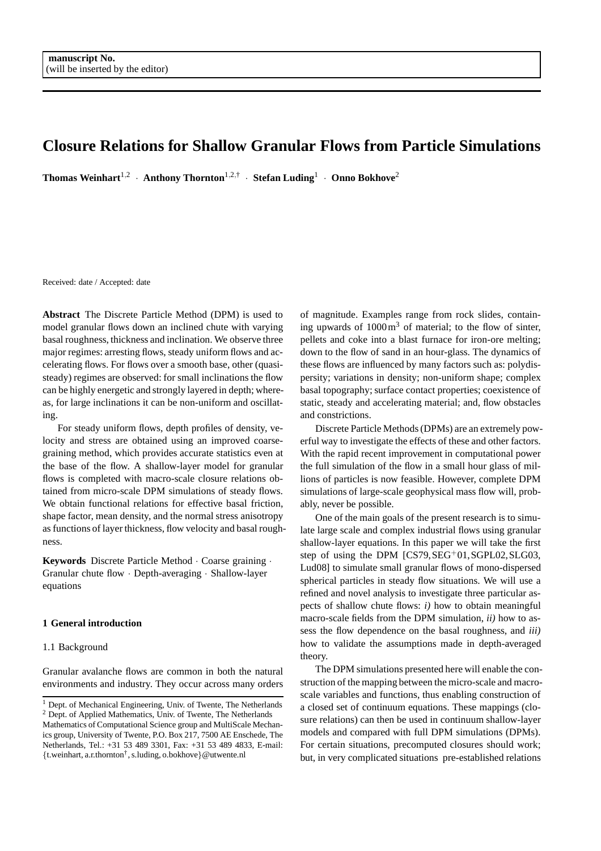# **Closure Relations for Shallow Granular Flows from Particle Simulations**

**Thomas Weinhart**1,<sup>2</sup> · **Anthony Thornton**1,2,† · **Stefan Luding**<sup>1</sup> · **Onno Bokhove**<sup>2</sup>

Received: date / Accepted: date

**Abstract** The Discrete Particle Method (DPM) is used to model granular flows down an inclined chute with varying basal roughness, thickness and inclination. We observe three major regimes: arresting flows, steady uniform flows and accelerating flows. For flows over a smooth base, other (quasisteady) regimes are observed: for small inclinations the flow can be highly energetic and strongly layered in depth; whereas, for large inclinations it can be non-uniform and oscillating.

For steady uniform flows, depth profiles of density, velocity and stress are obtained using an improved coarsegraining method, which provides accurate statistics even at the base of the flow. A shallow-layer model for granular flows is completed with macro-scale closure relations obtained from micro-scale DPM simulations of steady flows. We obtain functional relations for effective basal friction, shape factor, mean density, and the normal stress anisotropy as functions of layer thickness, flow velocity and basal roughness.

**Keywords** Discrete Particle Method · Coarse graining · Granular chute flow · Depth-averaging · Shallow-layer equations

# **1 General introduction**

# 1.1 Background

Granular avalanche flows are common in both the natural environments and industry. They occur across many orders of magnitude. Examples range from rock slides, containing upwards of  $1000 \text{ m}^3$  of material; to the flow of sinter, pellets and coke into a blast furnace for iron-ore melting; down to the flow of sand in an hour-glass. The dynamics of these flows are influenced by many factors such as: polydispersity; variations in density; non-uniform shape; complex basal topography; surface contact properties; coexistence of static, steady and accelerating material; and, flow obstacles and constrictions.

Discrete Particle Methods (DPMs) are an extremely powerful way to investigate the effects of these and other factors. With the rapid recent improvement in computational power the full simulation of the flow in a small hour glass of millions of particles is now feasible. However, complete DPM simulations of large-scale geophysical mass flow will, probably, never be possible.

One of the main goals of the present research is to simulate large scale and complex industrial flows using granular shallow-layer equations. In this paper we will take the first step of using the DPM [CS79,SEG+01,SGPL02,SLG03, Lud08] to simulate small granular flows of mono-dispersed spherical particles in steady flow situations. We will use a refined and novel analysis to investigate three particular aspects of shallow chute flows: *i)* how to obtain meaningful macro-scale fields from the DPM simulation, *ii)* how to assess the flow dependence on the basal roughness, and *iii)* how to validate the assumptions made in depth-averaged theory.

The DPM simulations presented here will enable the construction of the mapping between the micro-scale and macroscale variables and functions, thus enabling construction of a closed set of continuum equations. These mappings (closure relations) can then be used in continuum shallow-layer models and compared with full DPM simulations (DPMs). For certain situations, precomputed closures should work; but, in very complicated situations pre-established relations

<sup>&</sup>lt;sup>1</sup> Dept. of Mechanical Engineering, Univ. of Twente, The Netherlands <sup>2</sup> Dept. of Applied Mathematics, Univ. of Twente, The Netherlands Mathematics of Computational Science group and MultiScale Mechanics group, University of Twente, P.O. Box 217, 7500 AE Enschede, The Netherlands, Tel.: +31 53 489 3301, Fax: +31 53 489 4833, E-mail: {t.weinhart, a.r.thornton† , s.luding, o.bokhove}@utwente.nl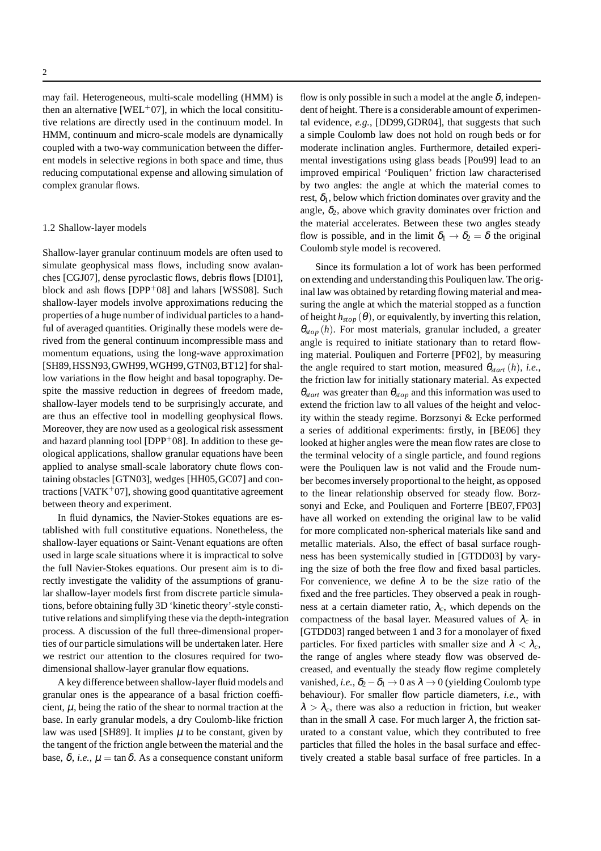2

may fail. Heterogeneous, multi-scale modelling (HMM) is then an alternative [WEL<sup>+</sup>07], in which the local consititutive relations are directly used in the continuum model. In HMM, continuum and micro-scale models are dynamically coupled with a two-way communication between the different models in selective regions in both space and time, thus reducing computational expense and allowing simulation of complex granular flows.

## 1.2 Shallow-layer models

Shallow-layer granular continuum models are often used to simulate geophysical mass flows, including snow avalanches [CGJ07], dense pyroclastic flows, debris flows [DI01], block and ash flows  $[DPP<sup>+</sup>08]$  and lahars [WSS08]. Such shallow-layer models involve approximations reducing the properties of a huge number of individual particles to a handful of averaged quantities. Originally these models were derived from the general continuum incompressible mass and momentum equations, using the long-wave approximation [SH89,HSSN93,GWH99,WGH99,GTN03,BT12] for shallow variations in the flow height and basal topography. Despite the massive reduction in degrees of freedom made, shallow-layer models tend to be surprisingly accurate, and are thus an effective tool in modelling geophysical flows. Moreover, they are now used as a geological risk assessment and hazard planning tool  $[DPP<sup>+</sup>08]$ . In addition to these geological applications, shallow granular equations have been applied to analyse small-scale laboratory chute flows containing obstacles [GTN03], wedges [HH05,GC07] and contractions [VATK+07], showing good quantitative agreement between theory and experiment.

In fluid dynamics, the Navier-Stokes equations are established with full constitutive equations. Nonetheless, the shallow-layer equations or Saint-Venant equations are often used in large scale situations where it is impractical to solve the full Navier-Stokes equations. Our present aim is to directly investigate the validity of the assumptions of granular shallow-layer models first from discrete particle simulations, before obtaining fully 3D 'kinetic theory'-style constitutive relations and simplifying these via the depth-integration process. A discussion of the full three-dimensional properties of our particle simulations will be undertaken later. Here we restrict our attention to the closures required for twodimensional shallow-layer granular flow equations.

A key difference between shallow-layer fluid models and granular ones is the appearance of a basal friction coefficient,  $\mu$ , being the ratio of the shear to normal traction at the base. In early granular models, a dry Coulomb-like friction law was used [SH89]. It implies  $\mu$  to be constant, given by the tangent of the friction angle between the material and the base,  $\delta$ , *i.e.*,  $\mu = \tan \delta$ . As a consequence constant uniform flow is only possible in such a model at the angle  $\delta$ , independent of height. There is a considerable amount of experimental evidence, *e.g.*, [DD99,GDR04], that suggests that such a simple Coulomb law does not hold on rough beds or for moderate inclination angles. Furthermore, detailed experimental investigations using glass beads [Pou99] lead to an improved empirical 'Pouliquen' friction law characterised by two angles: the angle at which the material comes to rest,  $\delta_1$ , below which friction dominates over gravity and the angle,  $\delta_2$ , above which gravity dominates over friction and the material accelerates. Between these two angles steady flow is possible, and in the limit  $\delta_1 \rightarrow \delta_2 = \delta$  the original Coulomb style model is recovered.

Since its formulation a lot of work has been performed on extending and understanding this Pouliquen law. The original law was obtained by retarding flowing material and measuring the angle at which the material stopped as a function of height  $h_{stop}(\theta)$ , or equivalently, by inverting this relation, <sup>θ</sup>*stop* (*h*). For most materials, granular included, a greater angle is required to initiate stationary than to retard flowing material. Pouliquen and Forterre [PF02], by measuring the angle required to start motion, measured  $\theta_{start}(h)$ , *i.e.*, the friction law for initially stationary material. As expected <sup>θ</sup>*start* was greater than <sup>θ</sup>*stop* and this information was used to extend the friction law to all values of the height and velocity within the steady regime. Borzsonyi & Ecke performed a series of additional experiments: firstly, in [BE06] they looked at higher angles were the mean flow rates are close to the terminal velocity of a single particle, and found regions were the Pouliquen law is not valid and the Froude number becomes inversely proportional to the height, as opposed to the linear relationship observed for steady flow. Borzsonyi and Ecke, and Pouliquen and Forterre [BE07,FP03] have all worked on extending the original law to be valid for more complicated non-spherical materials like sand and metallic materials. Also, the effect of basal surface roughness has been systemically studied in [GTDD03] by varying the size of both the free flow and fixed basal particles. For convenience, we define  $\lambda$  to be the size ratio of the fixed and the free particles. They observed a peak in roughness at a certain diameter ratio,  $\lambda_c$ , which depends on the compactness of the basal layer. Measured values of <sup>λ</sup>*<sup>c</sup>* in [GTDD03] ranged between 1 and 3 for a monolayer of fixed particles. For fixed particles with smaller size and  $\lambda < \lambda_c$ , the range of angles where steady flow was observed decreased, and eventually the steady flow regime completely vanished, *i.e.*,  $\delta_2 - \delta_1 \rightarrow 0$  as  $\lambda \rightarrow 0$  (yielding Coulomb type behaviour). For smaller flow particle diameters, *i.e.*, with  $\lambda > \lambda_c$ , there was also a reduction in friction, but weaker than in the small  $\lambda$  case. For much larger  $\lambda$ , the friction saturated to a constant value, which they contributed to free particles that filled the holes in the basal surface and effectively created a stable basal surface of free particles. In a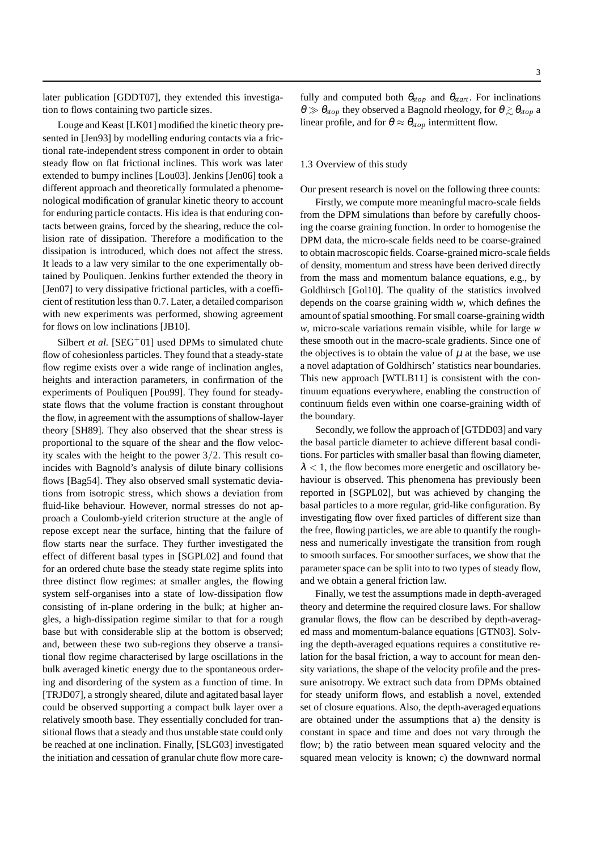later publication [GDDT07], they extended this investigation to flows containing two particle sizes.

Louge and Keast [LK01] modified the kinetic theory presented in [Jen93] by modelling enduring contacts via a frictional rate-independent stress component in order to obtain steady flow on flat frictional inclines. This work was later extended to bumpy inclines [Lou03]. Jenkins [Jen06] took a different approach and theoretically formulated a phenomenological modification of granular kinetic theory to account for enduring particle contacts. His idea is that enduring contacts between grains, forced by the shearing, reduce the collision rate of dissipation. Therefore a modification to the dissipation is introduced, which does not affect the stress. It leads to a law very similar to the one experimentally obtained by Pouliquen. Jenkins further extended the theory in [Jen07] to very dissipative frictional particles, with a coefficient of restitution less than 0.7. Later, a detailed comparison with new experiments was performed, showing agreement for flows on low inclinations [JB10].

Silbert *et al.* [SEG<sup>+</sup>01] used DPMs to simulated chute flow of cohesionless particles. They found that a steady-state flow regime exists over a wide range of inclination angles, heights and interaction parameters, in confirmation of the experiments of Pouliquen [Pou99]. They found for steadystate flows that the volume fraction is constant throughout the flow, in agreement with the assumptions of shallow-layer theory [SH89]. They also observed that the shear stress is proportional to the square of the shear and the flow velocity scales with the height to the power 3/2. This result coincides with Bagnold's analysis of dilute binary collisions flows [Bag54]. They also observed small systematic deviations from isotropic stress, which shows a deviation from fluid-like behaviour. However, normal stresses do not approach a Coulomb-yield criterion structure at the angle of repose except near the surface, hinting that the failure of flow starts near the surface. They further investigated the effect of different basal types in [SGPL02] and found that for an ordered chute base the steady state regime splits into three distinct flow regimes: at smaller angles, the flowing system self-organises into a state of low-dissipation flow consisting of in-plane ordering in the bulk; at higher angles, a high-dissipation regime similar to that for a rough base but with considerable slip at the bottom is observed; and, between these two sub-regions they observe a transitional flow regime characterised by large oscillations in the bulk averaged kinetic energy due to the spontaneous ordering and disordering of the system as a function of time. In [TRJD07], a strongly sheared, dilute and agitated basal layer could be observed supporting a compact bulk layer over a relatively smooth base. They essentially concluded for transitional flows that a steady and thus unstable state could only be reached at one inclination. Finally, [SLG03] investigated the initiation and cessation of granular chute flow more care-

# 1.3 Overview of this study

Our present research is novel on the following three counts:

Firstly, we compute more meaningful macro-scale fields from the DPM simulations than before by carefully choosing the coarse graining function. In order to homogenise the DPM data, the micro-scale fields need to be coarse-grained to obtain macroscopic fields. Coarse-grained micro-scale fields of density, momentum and stress have been derived directly from the mass and momentum balance equations, e.g., by Goldhirsch [Gol10]. The quality of the statistics involved depends on the coarse graining width *w*, which defines the amount of spatial smoothing. For small coarse-graining width *w*, micro-scale variations remain visible, while for large *w* these smooth out in the macro-scale gradients. Since one of the objectives is to obtain the value of  $\mu$  at the base, we use a novel adaptation of Goldhirsch' statistics near boundaries. This new approach [WTLB11] is consistent with the continuum equations everywhere, enabling the construction of continuum fields even within one coarse-graining width of the boundary.

Secondly, we follow the approach of [GTDD03] and vary the basal particle diameter to achieve different basal conditions. For particles with smaller basal than flowing diameter,  $\lambda$  < 1, the flow becomes more energetic and oscillatory behaviour is observed. This phenomena has previously been reported in [SGPL02], but was achieved by changing the basal particles to a more regular, grid-like configuration. By investigating flow over fixed particles of different size than the free, flowing particles, we are able to quantify the roughness and numerically investigate the transition from rough to smooth surfaces. For smoother surfaces, we show that the parameter space can be split into to two types of steady flow, and we obtain a general friction law.

Finally, we test the assumptions made in depth-averaged theory and determine the required closure laws. For shallow granular flows, the flow can be described by depth-averaged mass and momentum-balance equations [GTN03]. Solving the depth-averaged equations requires a constitutive relation for the basal friction, a way to account for mean density variations, the shape of the velocity profile and the pressure anisotropy. We extract such data from DPMs obtained for steady uniform flows, and establish a novel, extended set of closure equations. Also, the depth-averaged equations are obtained under the assumptions that a) the density is constant in space and time and does not vary through the flow; b) the ratio between mean squared velocity and the squared mean velocity is known; c) the downward normal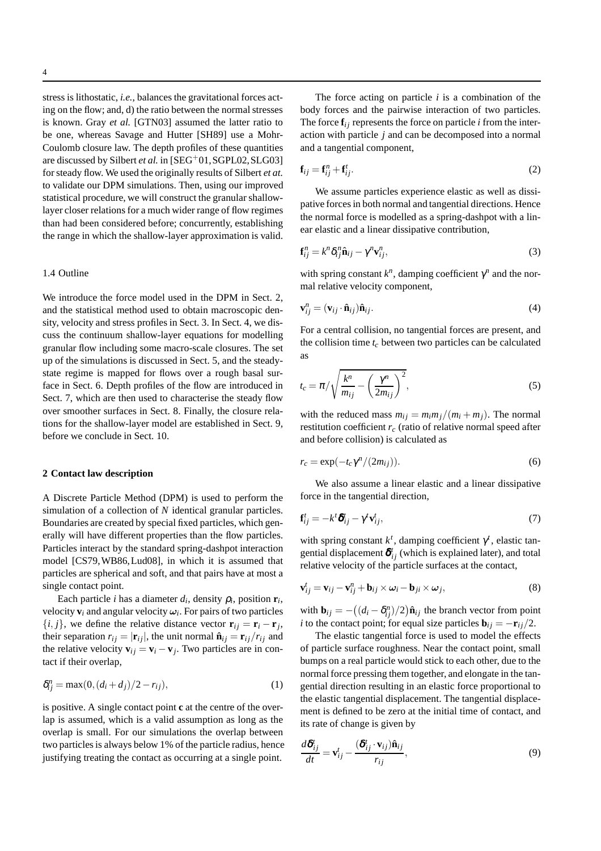stress is lithostatic, *i.e.*, balances the gravitational forces acting on the flow; and, d) the ratio between the normal stresses is known. Gray *et al.* [GTN03] assumed the latter ratio to be one, whereas Savage and Hutter [SH89] use a Mohr-Coulomb closure law. The depth profiles of these quantities are discussed by Silbert *et al.* in [SEG<sup>+</sup>01, SGPL02, SLG03] for steady flow. We used the originally results of Silbert *et at.* to validate our DPM simulations. Then, using our improved statistical procedure, we will construct the granular shallowlayer closer relations for a much wider range of flow regimes than had been considered before; concurrently, establishing the range in which the shallow-layer approximation is valid.

# 1.4 Outline

We introduce the force model used in the DPM in Sect. 2, and the statistical method used to obtain macroscopic density, velocity and stress profiles in Sect. 3. In Sect. 4, we discuss the continuum shallow-layer equations for modelling granular flow including some macro-scale closures. The set up of the simulations is discussed in Sect. 5, and the steadystate regime is mapped for flows over a rough basal surface in Sect. 6. Depth profiles of the flow are introduced in Sect. 7, which are then used to characterise the steady flow over smoother surfaces in Sect. 8. Finally, the closure relations for the shallow-layer model are established in Sect. 9, before we conclude in Sect. 10.

# **2 Contact law description**

A Discrete Particle Method (DPM) is used to perform the simulation of a collection of *N* identical granular particles. Boundaries are created by special fixed particles, which generally will have different properties than the flow particles. Particles interact by the standard spring-dashpot interaction model [CS79,WB86,Lud08], in which it is assumed that particles are spherical and soft, and that pairs have at most a single contact point.

Each particle *i* has a diameter  $d_i$ , density  $\rho_i$ , position  $\mathbf{r}_i$ , velocity  $\mathbf{v}_i$  and angular velocity  $\boldsymbol{\omega}_i$ . For pairs of two particles  $\{i, j\}$ , we define the relative distance vector  $\mathbf{r}_{ij} = \mathbf{r}_i - \mathbf{r}_j$ , their separation  $r_{ij} = |\mathbf{r}_{ij}|$ , the unit normal  $\hat{\mathbf{n}}_{ij} = \mathbf{r}_{ij}/r_{ij}$  and the relative velocity  $\mathbf{v}_{ij} = \mathbf{v}_i - \mathbf{v}_j$ . Two particles are in contact if their overlap,

$$
\delta_{ij}^n = \max(0, (d_i + d_j)/2 - r_{ij}),\tag{1}
$$

is positive. A single contact point **c** at the centre of the overlap is assumed, which is a valid assumption as long as the overlap is small. For our simulations the overlap between two particles is always below 1% of the particle radius, hence justifying treating the contact as occurring at a single point.

The force acting on particle *i* is a combination of the body forces and the pairwise interaction of two particles. The force  $f_{ij}$  represents the force on particle *i* from the interaction with particle *j* and can be decomposed into a normal and a tangential component,

$$
\mathbf{f}_{ij} = \mathbf{f}_{ij}^n + \mathbf{f}_{ij}^t. \tag{2}
$$

We assume particles experience elastic as well as dissipative forces in both normal and tangential directions. Hence the normal force is modelled as a spring-dashpot with a linear elastic and a linear dissipative contribution,

$$
\mathbf{f}_{ij}^n = k^n \delta_{ij}^n \hat{\mathbf{n}}_{ij} - \gamma^n \mathbf{v}_{ij}^n,\tag{3}
$$

with spring constant  $k^n$ , damping coefficient  $\gamma^n$  and the normal relative velocity component,

$$
\mathbf{v}_{ij}^n = (\mathbf{v}_{ij} \cdot \hat{\mathbf{n}}_{ij}) \hat{\mathbf{n}}_{ij}.
$$
 (4)

For a central collision, no tangential forces are present, and the collision time *t<sup>c</sup>* between two particles can be calculated as

$$
t_c = \pi / \sqrt{\frac{k^n}{m_{ij}} - \left(\frac{\gamma^n}{2m_{ij}}\right)^2},\tag{5}
$$

with the reduced mass  $m_{ij} = m_i m_j/(m_i + m_j)$ . The normal restitution coefficient *r<sup>c</sup>* (ratio of relative normal speed after and before collision) is calculated as

$$
r_c = \exp(-t_c \gamma^n/(2m_{ij})).\tag{6}
$$

We also assume a linear elastic and a linear dissipative force in the tangential direction,

$$
\mathbf{f}_{ij}^t = -k^t \delta_{ij}^t - \gamma^t \mathbf{v}_{ij}^t,\tag{7}
$$

with spring constant  $k^t$ , damping coefficient  $\gamma^t$ , elastic tangential displacement  $\boldsymbol{\delta}_{ij}^t$  (which is explained later), and total relative velocity of the particle surfaces at the contact,

$$
\mathbf{v}_{ij}^t = \mathbf{v}_{ij} - \mathbf{v}_{ij}^n + \mathbf{b}_{ij} \times \boldsymbol{\omega}_i - \mathbf{b}_{ji} \times \boldsymbol{\omega}_j,
$$
 (8)

with  $\mathbf{b}_{ij} = -\left( \frac{d_i - \delta_{ij}^n}{2} \right) \hat{\mathbf{n}}_{ij}$  the branch vector from point *i* to the contact point; for equal size particles  $\mathbf{b}_{ij} = -\mathbf{r}_{ij}/2$ .

The elastic tangential force is used to model the effects of particle surface roughness. Near the contact point, small bumps on a real particle would stick to each other, due to the normal force pressing them together, and elongate in the tangential direction resulting in an elastic force proportional to the elastic tangential displacement. The tangential displacement is defined to be zero at the initial time of contact, and its rate of change is given by

$$
\frac{d\boldsymbol{\delta}_{ij}^t}{dt} = \mathbf{v}_{ij}^t - \frac{(\boldsymbol{\delta}_{ij}^t \cdot \mathbf{v}_{ij})\hat{\mathbf{n}}_{ij}}{r_{ij}},
$$
\n(9)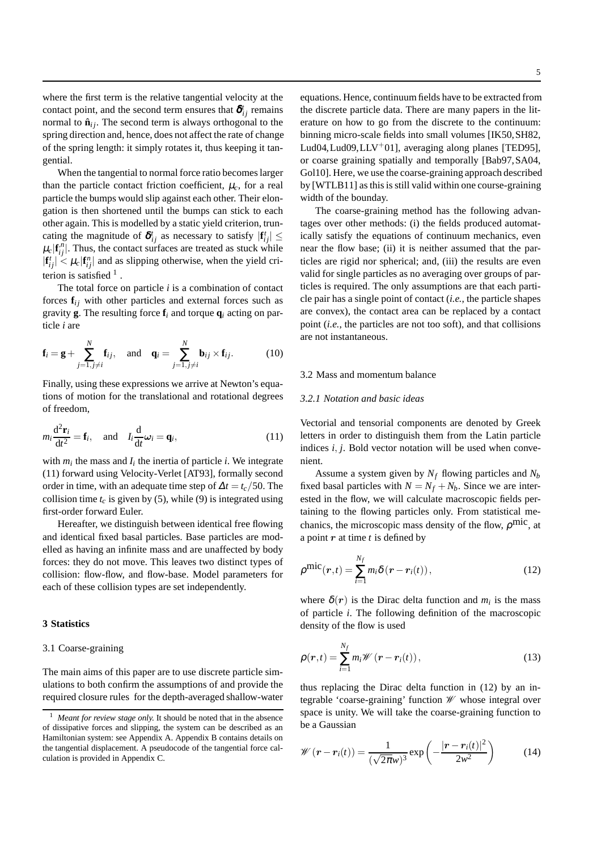where the first term is the relative tangential velocity at the contact point, and the second term ensures that  $\boldsymbol{\delta}_{ij}^t$  remains normal to  $\hat{\mathbf{n}}_{ij}$ . The second term is always orthogonal to the spring direction and, hence, does not affect the rate of change of the spring length: it simply rotates it, thus keeping it tangential.

When the tangential to normal force ratio becomes larger than the particle contact friction coefficient,  $\mu_c$ , for a real particle the bumps would slip against each other. Their elongation is then shortened until the bumps can stick to each other again. This is modelled by a static yield criterion, truncating the magnitude of  $\delta_{ij}^t$  as necessary to satisfy  $|\mathbf{f}_{ij}^t| \leq$  $\mu_c|\mathbf{f}_{ij}^n|$ . Thus, the contact surfaces are treated as stuck while  $|\mathbf{f}_{ij}^t| < \mu_c |\mathbf{f}_{ij}^n|$  and as slipping otherwise, when the yield criterion is satisfied  $<sup>1</sup>$ .</sup>

The total force on particle *i* is a combination of contact forces  $f_{ij}$  with other particles and external forces such as gravity **g**. The resulting force  $f_i$  and torque  $q_i$  acting on particle *i* are

$$
\mathbf{f}_i = \mathbf{g} + \sum_{j=1, j \neq i}^{N} \mathbf{f}_{ij}, \text{ and } \mathbf{q}_i = \sum_{j=1, j \neq i}^{N} \mathbf{b}_{ij} \times \mathbf{f}_{ij}.
$$
 (10)

Finally, using these expressions we arrive at Newton's equations of motion for the translational and rotational degrees of freedom,

$$
m_i \frac{d^2 \mathbf{r}_i}{dt^2} = \mathbf{f}_i, \text{ and } I_i \frac{d}{dt} \boldsymbol{\omega}_i = \mathbf{q}_i,
$$
 (11)

with  $m_i$  the mass and  $I_i$  the inertia of particle  $i$ . We integrate (11) forward using Velocity-Verlet [AT93], formally second order in time, with an adequate time step of  $\Delta t = t_c/50$ . The collision time  $t_c$  is given by (5), while (9) is integrated using first-order forward Euler.

Hereafter, we distinguish between identical free flowing and identical fixed basal particles. Base particles are modelled as having an infinite mass and are unaffected by body forces: they do not move. This leaves two distinct types of collision: flow-flow, and flow-base. Model parameters for each of these collision types are set independently.

### **3 Statistics**

#### 3.1 Coarse-graining

The main aims of this paper are to use discrete particle simulations to both confirm the assumptions of and provide the required closure rules for the depth-averaged shallow-water 5

equations. Hence, continuum fields have to be extracted from the discrete particle data. There are many papers in the literature on how to go from the discrete to the continuum: binning micro-scale fields into small volumes [IK50,SH82, Lud04,Lud09,LLV+01], averaging along planes [TED95], or coarse graining spatially and temporally [Bab97,SA04, Gol10]. Here, we use the coarse-graining approach described by [WTLB11] as this is still valid within one course-graining width of the bounday.

The coarse-graining method has the following advantages over other methods: (i) the fields produced automatically satisfy the equations of continuum mechanics, even near the flow base; (ii) it is neither assumed that the particles are rigid nor spherical; and, (iii) the results are even valid for single particles as no averaging over groups of particles is required. The only assumptions are that each particle pair has a single point of contact (*i.e.*, the particle shapes are convex), the contact area can be replaced by a contact point (*i.e.*, the particles are not too soft), and that collisions are not instantaneous.

## 3.2 Mass and momentum balance

#### *3.2.1 Notation and basic ideas*

Vectorial and tensorial components are denoted by Greek letters in order to distinguish them from the Latin particle indices *i*, *j*. Bold vector notation will be used when convenient.

Assume a system given by *N<sup>f</sup>* flowing particles and *N<sup>b</sup>* fixed basal particles with  $N = N_f + N_b$ . Since we are interested in the flow, we will calculate macroscopic fields pertaining to the flowing particles only. From statistical mechanics, the microscopic mass density of the flow,  $\rho^{\text{mic}}$ , at a point r at time *t* is defined by

$$
\rho^{\text{mic}}(r,t) = \sum_{i=1}^{N_f} m_i \delta(r - r_i(t)), \qquad (12)
$$

where  $\delta(r)$  is the Dirac delta function and  $m_i$  is the mass of particle *i*. The following definition of the macroscopic density of the flow is used

$$
\rho(\mathbf{r},t) = \sum_{i=1}^{N_f} m_i \mathscr{W}(\mathbf{r} - \mathbf{r}_i(t)),
$$
\n(13)

thus replacing the Dirac delta function in (12) by an integrable 'coarse-graining' function W whose integral over space is unity. We will take the coarse-graining function to be a Gaussian

$$
\mathscr{W}\left(\boldsymbol{r}-\boldsymbol{r}_i(t)\right)=\frac{1}{(\sqrt{2\pi}w)^3}\exp\left(-\frac{|\boldsymbol{r}-\boldsymbol{r}_i(t)|^2}{2w^2}\right) \tag{14}
$$

<sup>&</sup>lt;sup>1</sup> *Meant for review stage only.* It should be noted that in the absence of dissipative forces and slipping, the system can be described as an Hamiltonian system: see Appendix A. Appendix B contains details on the tangential displacement. A pseudocode of the tangential force calculation is provided in Appendix C.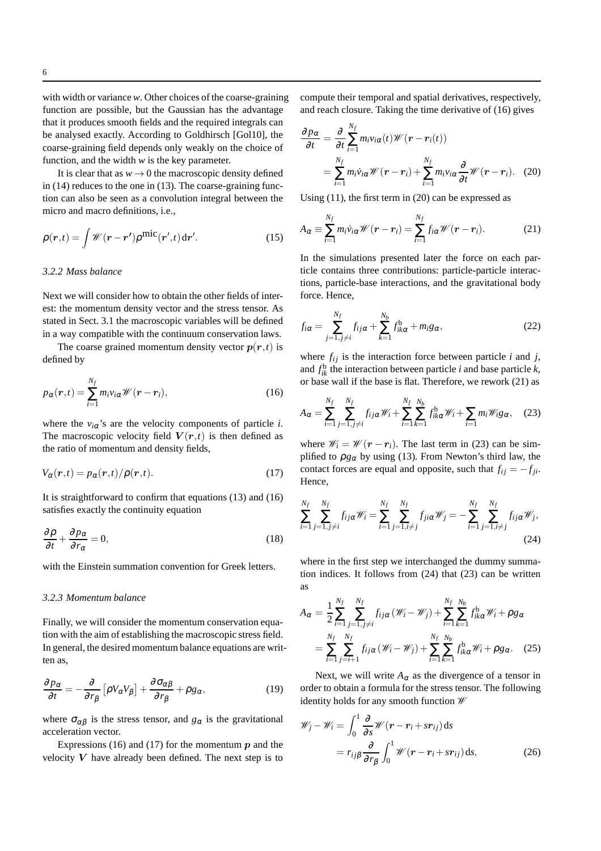with width or variance *w*. Other choices of the coarse-graining function are possible, but the Gaussian has the advantage that it produces smooth fields and the required integrals can be analysed exactly. According to Goldhirsch [Gol10], the coarse-graining field depends only weakly on the choice of function, and the width *w* is the key parameter.

It is clear that as  $w \rightarrow 0$  the macroscopic density defined in (14) reduces to the one in (13). The coarse-graining function can also be seen as a convolution integral between the micro and macro definitions, i.e.,

$$
\rho(\mathbf{r},t) = \int \mathcal{W}(\mathbf{r} - \mathbf{r}') \rho^{\text{mic}}(\mathbf{r}',t) d\mathbf{r}'. \tag{15}
$$

# *3.2.2 Mass balance*

Next we will consider how to obtain the other fields of interest: the momentum density vector and the stress tensor. As stated in Sect. 3.1 the macroscopic variables will be defined in a way compatible with the continuum conservation laws.

The coarse grained momentum density vector  $p(r,t)$  is defined by

$$
p_{\alpha}(\boldsymbol{r},t) = \sum_{i=1}^{N_f} m_i v_{i\alpha} \mathscr{W}(\boldsymbol{r} - \boldsymbol{r}_i),
$$
 (16)

where the  $v_{i\alpha}$ 's are the velocity components of particle *i*. The macroscopic velocity field  $V(r,t)$  is then defined as the ratio of momentum and density fields,

$$
V_{\alpha}(\mathbf{r},t) = p_{\alpha}(\mathbf{r},t)/\rho(\mathbf{r},t). \tag{17}
$$

It is straightforward to confirm that equations (13) and (16) satisfies exactly the continuity equation

$$
\frac{\partial \rho}{\partial t} + \frac{\partial p_{\alpha}}{\partial r_{\alpha}} = 0, \tag{18}
$$

with the Einstein summation convention for Greek letters.

#### *3.2.3 Momentum balance*

Finally, we will consider the momentum conservation equation with the aim of establishing the macroscopic stress field. In general, the desired momentum balance equations are written as,

$$
\frac{\partial p_{\alpha}}{\partial t} = -\frac{\partial}{\partial r_{\beta}} \left[ \rho V_{\alpha} V_{\beta} \right] + \frac{\partial \sigma_{\alpha\beta}}{\partial r_{\beta}} + \rho g_{\alpha}, \tag{19}
$$

where  $\sigma_{\alpha\beta}$  is the stress tensor, and  $g_{\alpha}$  is the gravitational acceleration vector.

Expressions (16) and (17) for the momentum  $p$  and the velocity  $V$  have already been defined. The next step is to

compute their temporal and spatial derivatives, respectively, and reach closure. Taking the time derivative of (16) gives

$$
\frac{\partial p_{\alpha}}{\partial t} = \frac{\partial}{\partial t} \sum_{i=1}^{N_f} m_i v_{i\alpha}(t) \mathscr{W}(\mathbf{r} - \mathbf{r}_i(t))
$$
  
= 
$$
\sum_{i=1}^{N_f} m_i \dot{v}_{i\alpha} \mathscr{W}(\mathbf{r} - \mathbf{r}_i) + \sum_{i=1}^{N_f} m_i v_{i\alpha} \frac{\partial}{\partial t} \mathscr{W}(\mathbf{r} - \mathbf{r}_i).
$$
 (20)

Using (11), the first term in (20) can be expressed as

$$
A_{\alpha} \equiv \sum_{i=1}^{N_f} m_i \dot{v}_{i\alpha} \mathscr{W}(\mathbf{r} - \mathbf{r}_i) = \sum_{i=1}^{N_f} f_{i\alpha} \mathscr{W}(\mathbf{r} - \mathbf{r}_i).
$$
 (21)

In the simulations presented later the force on each particle contains three contributions: particle-particle interactions, particle-base interactions, and the gravitational body force. Hence,

$$
f_{i\alpha} = \sum_{j=1, j\neq i}^{N_f} f_{ij\alpha} + \sum_{k=1}^{N_b} f_{ik\alpha}^b + m_i g_{\alpha},
$$
 (22)

where  $f_{ij}$  is the interaction force between particle *i* and *j*, and  $f_{ik}^b$  the interaction between particle *i* and base particle *k*, or base wall if the base is flat. Therefore, we rework (21) as

$$
A_{\alpha} = \sum_{i=1}^{N_f} \sum_{j=1, j \neq i}^{N_f} f_{ij\alpha} \mathcal{W}_i + \sum_{i=1}^{N_f} \sum_{k=1}^{N_b} f_{ik\alpha}^b \mathcal{W}_i + \sum_{i=1}^{N_f} m_i \mathcal{W}_{i} g_{\alpha}, \quad (23)
$$

where  $\mathcal{W}_i = \mathcal{W}(\mathbf{r} - \mathbf{r}_i)$ . The last term in (23) can be simplified to  $\rho g_{\alpha}$  by using (13). From Newton's third law, the contact forces are equal and opposite, such that  $f_{ij} = -f_{ji}$ . Hence,

$$
\sum_{i=1}^{N_f} \sum_{j=1, j \neq i}^{N_f} f_{ij\alpha} \mathcal{W}_i = \sum_{i=1}^{N_f} \sum_{j=1, i \neq j}^{N_f} f_{ji\alpha} \mathcal{W}_j = -\sum_{i=1}^{N_f} \sum_{j=1, i \neq j}^{N_f} f_{ij\alpha} \mathcal{W}_j,
$$
\n(24)

where in the first step we interchanged the dummy summation indices. It follows from (24) that (23) can be written as

$$
A_{\alpha} = \frac{1}{2} \sum_{i=1}^{N_f} \sum_{j=1, j \neq i}^{N_f} f_{ij\alpha} (\mathscr{W}_i - \mathscr{W}_j) + \sum_{i=1}^{N_f} \sum_{k=1}^{N_b} f_{ik\alpha}^b \mathscr{W}_i + \rho g_{\alpha}
$$
  
= 
$$
\sum_{i=1}^{N_f} \sum_{j=i+1}^{N_f} f_{ij\alpha} (\mathscr{W}_i - \mathscr{W}_j) + \sum_{i=1}^{N_f} \sum_{k=1}^{N_b} f_{ik\alpha}^b \mathscr{W}_i + \rho g_{\alpha}.
$$
 (25)

Next, we will write  $A_{\alpha}$  as the divergence of a tensor in order to obtain a formula for the stress tensor. The following identity holds for any smooth function W

$$
\mathcal{W}_j - \mathcal{W}_i = \int_0^1 \frac{\partial}{\partial s} \mathcal{W}(\mathbf{r} - \mathbf{r}_i + s\mathbf{r}_{ij}) ds \n= r_{ij\beta} \frac{\partial}{\partial r_\beta} \int_0^1 \mathcal{W}(\mathbf{r} - \mathbf{r}_i + s\mathbf{r}_{ij}) ds,
$$
\n(26)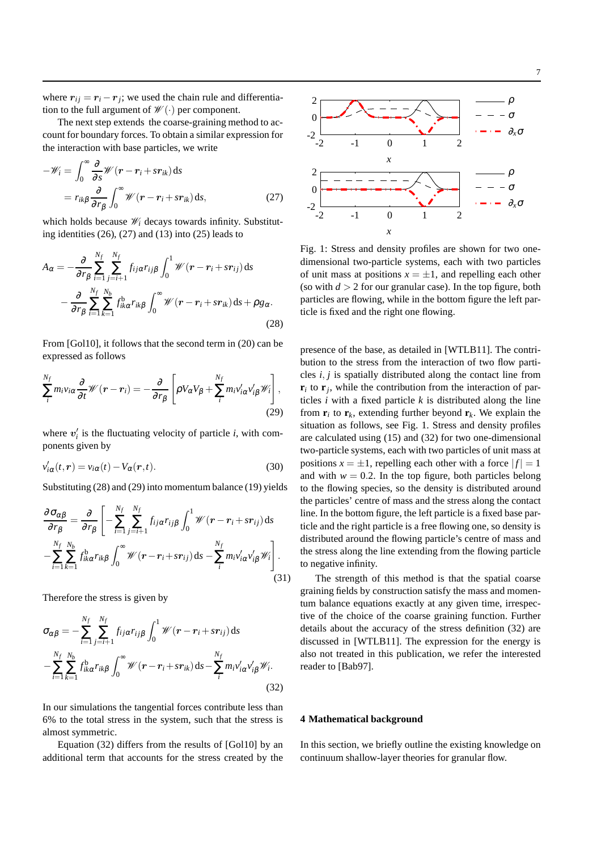where  $r_{ij} = r_i - r_j$ ; we used the chain rule and differentiation to the full argument of  $\mathcal{W}(\cdot)$  per component.

The next step extends the coarse-graining method to account for boundary forces. To obtain a similar expression for the interaction with base particles, we write

$$
-\mathscr{W}_i = \int_0^\infty \frac{\partial}{\partial s} \mathscr{W}(\mathbf{r} - \mathbf{r}_i + s\mathbf{r}_{ik}) \, \mathrm{d}s
$$

$$
= r_{ik\beta} \frac{\partial}{\partial r_\beta} \int_0^\infty \mathscr{W}(\mathbf{r} - \mathbf{r}_i + s\mathbf{r}_{ik}) \, \mathrm{d}s,\tag{27}
$$

which holds because  $\mathcal{W}_i$  decays towards infinity. Substituting identities  $(26)$ ,  $(27)$  and  $(13)$  into  $(25)$  leads to

$$
A_{\alpha} = -\frac{\partial}{\partial r_{\beta}} \sum_{i=1}^{N_f} \sum_{j=i+1}^{N_f} f_{ij\alpha} r_{ij\beta} \int_0^1 \mathcal{W}(\mathbf{r} - \mathbf{r}_i + s\mathbf{r}_{ij}) \, \mathrm{d}s
$$

$$
- \frac{\partial}{\partial r_{\beta}} \sum_{i=1}^{N_f} \sum_{k=1}^{N_b} f_{ik\alpha}^b r_{ik\beta} \int_0^\infty \mathcal{W}(\mathbf{r} - \mathbf{r}_i + s\mathbf{r}_{ik}) \, \mathrm{d}s + \rho g_{\alpha}.
$$
(28)

From [Gol10], it follows that the second term in (20) can be expressed as follows

$$
\sum_{i}^{N_f} m_i v_{i\alpha} \frac{\partial}{\partial t} \mathscr{W}(\mathbf{r} - \mathbf{r}_i) = -\frac{\partial}{\partial r_\beta} \left[ \rho V_\alpha V_\beta + \sum_{i}^{N_f} m_i v_{i\alpha}^{\prime} v_{i\beta}^{\prime} \mathscr{W}_i \right],
$$
\n(29)

where  $v_i'$  is the fluctuating velocity of particle  $i$ , with components given by

$$
v'_{i\alpha}(t,\mathbf{r}) = v_{i\alpha}(t) - V_{\alpha}(\mathbf{r},t).
$$
\n(30)

Substituting (28) and (29) into momentum balance (19) yields

$$
\frac{\partial \sigma_{\alpha\beta}}{\partial r_{\beta}} = \frac{\partial}{\partial r_{\beta}} \left[ -\sum_{i=1}^{N_f} \sum_{j=i+1}^{N_f} f_{ij\alpha} r_{ij\beta} \int_0^1 \mathcal{W}(r - r_i + s r_{ij}) \, ds -\sum_{i=1}^{N_f} \sum_{k=1}^{N_b} f_{ik\alpha}^b r_{ik\beta} \int_0^\infty \mathcal{W}(r - r_i + s r_{ij}) \, ds -\sum_i^{N_f} m_i v_{i\alpha}^r v_{i\beta}^r \mathcal{W}_i \right].
$$
\n(31)

Therefore the stress is given by

$$
\sigma_{\alpha\beta} = -\sum_{i=1}^{N_f} \sum_{j=i+1}^{N_f} f_{ij\alpha} r_{ij\beta} \int_0^1 \mathcal{W}(\mathbf{r} - \mathbf{r}_i + s\mathbf{r}_{ij}) \, \mathrm{d}s \n- \sum_{i=1}^{N_f} \sum_{k=1}^{N_b} f_{ik\alpha}^b r_{ik\beta} \int_0^\infty \mathcal{W}(\mathbf{r} - \mathbf{r}_i + s\mathbf{r}_{ik}) \, \mathrm{d}s - \sum_i m_i v_{i\alpha}^i v_{i\beta}^i \mathcal{W}_i.
$$
\n(32)

In our simulations the tangential forces contribute less than 6% to the total stress in the system, such that the stress is almost symmetric.

Equation (32) differs from the results of [Gol10] by an additional term that accounts for the stress created by the



Fig. 1: Stress and density profiles are shown for two onedimensional two-particle systems, each with two particles of unit mass at positions  $x = \pm 1$ , and repelling each other (so with  $d > 2$  for our granular case). In the top figure, both particles are flowing, while in the bottom figure the left particle is fixed and the right one flowing.

presence of the base, as detailed in [WTLB11]. The contribution to the stress from the interaction of two flow particles *i*, *j* is spatially distributed along the contact line from  $\mathbf{r}_i$  to  $\mathbf{r}_j$ , while the contribution from the interaction of particles  $i$  with a fixed particle  $k$  is distributed along the line from  $\mathbf{r}_i$  to  $\mathbf{r}_k$ , extending further beyond  $\mathbf{r}_k$ . We explain the situation as follows, see Fig. 1. Stress and density profiles are calculated using (15) and (32) for two one-dimensional two-particle systems, each with two particles of unit mass at positions  $x = \pm 1$ , repelling each other with a force  $|f| = 1$ and with  $w = 0.2$ . In the top figure, both particles belong to the flowing species, so the density is distributed around the particles' centre of mass and the stress along the contact line. In the bottom figure, the left particle is a fixed base particle and the right particle is a free flowing one, so density is distributed around the flowing particle's centre of mass and the stress along the line extending from the flowing particle to negative infinity.

The strength of this method is that the spatial coarse graining fields by construction satisfy the mass and momentum balance equations exactly at any given time, irrespective of the choice of the coarse graining function. Further details about the accuracy of the stress definition (32) are discussed in [WTLB11]. The expression for the energy is also not treated in this publication, we refer the interested reader to [Bab97].

#### **4 Mathematical background**

In this section, we briefly outline the existing knowledge on continuum shallow-layer theories for granular flow.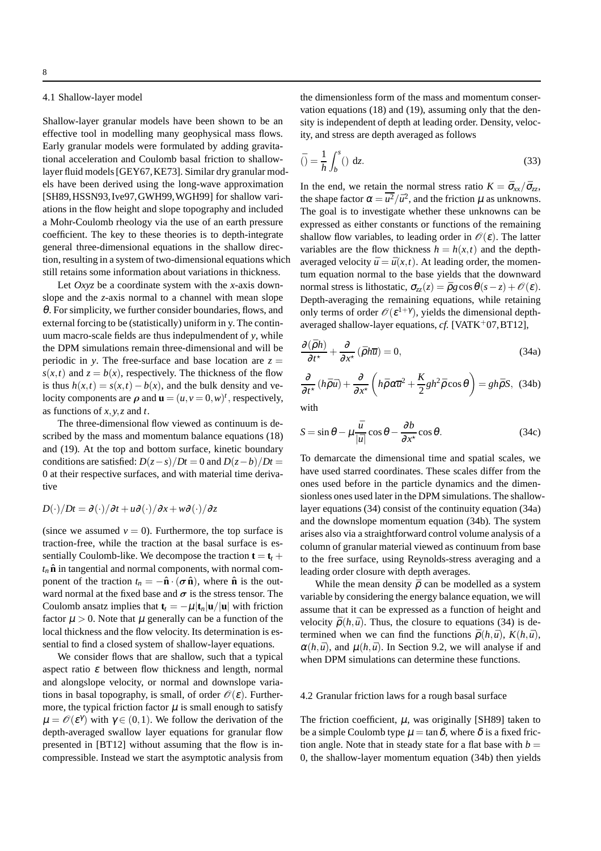# 4.1 Shallow-layer model

Shallow-layer granular models have been shown to be an effective tool in modelling many geophysical mass flows. Early granular models were formulated by adding gravitational acceleration and Coulomb basal friction to shallowlayer fluid models [GEY67,KE73]. Similar dry granular models have been derived using the long-wave approximation [SH89,HSSN93,Ive97,GWH99,WGH99] for shallow variations in the flow height and slope topography and included a Mohr-Coulomb rheology via the use of an earth pressure coefficient. The key to these theories is to depth-integrate general three-dimensional equations in the shallow direction, resulting in a system of two-dimensional equations which still retains some information about variations in thickness.

Let *Oxyz* be a coordinate system with the *x*-axis downslope and the *z*-axis normal to a channel with mean slope  $\theta$ . For simplicity, we further consider boundaries, flows, and external forcing to be (statistically) uniform in y. The continuum macro-scale fields are thus indepulmendent of *y*, while the DPM simulations remain three-dimensional and will be periodic in *y*. The free-surface and base location are  $z =$  $s(x,t)$  and  $z = b(x)$ , respectively. The thickness of the flow is thus  $h(x,t) = s(x,t) - b(x)$ , and the bulk density and velocity components are  $\rho$  and  $\mathbf{u} = (u, v = 0, w)^t$ , respectively, as functions of *x*,*y*,*z* and *t*.

The three-dimensional flow viewed as continuum is described by the mass and momentum balance equations (18) and (19). At the top and bottom surface, kinetic boundary conditions are satisfied:  $D(z-s)/Dt = 0$  and  $D(z-b)/Dt =$ 0 at their respective surfaces, and with material time derivative

$$
D(\cdot)/Dt = \partial(\cdot)/\partial t + u\partial(\cdot)/\partial x + w\partial(\cdot)/\partial z
$$

(since we assumed  $v = 0$ ). Furthermore, the top surface is traction-free, while the traction at the basal surface is essentially Coulomb-like. We decompose the traction  $\mathbf{t} = \mathbf{t}_t + \mathbf{t}_t$  $t_n$   $\hat{\mathbf{n}}$  in tangential and normal components, with normal component of the traction  $t_n = -\hat{\mathbf{n}} \cdot (\sigma \hat{\mathbf{n}})$ , where  $\hat{\mathbf{n}}$  is the outward normal at the fixed base and  $\sigma$  is the stress tensor. The Coulomb ansatz implies that  $\mathbf{t}_t = -\mu |\mathbf{t}_n| \mathbf{u}/|\mathbf{u}|$  with friction factor  $\mu > 0$ . Note that  $\mu$  generally can be a function of the local thickness and the flow velocity. Its determination is essential to find a closed system of shallow-layer equations.

We consider flows that are shallow, such that a typical aspect ratio  $\varepsilon$  between flow thickness and length, normal and alongslope velocity, or normal and downslope variations in basal topography, is small, of order  $\mathcal{O}(\varepsilon)$ . Furthermore, the typical friction factor  $\mu$  is small enough to satisfy  $\mu = \mathcal{O}(\varepsilon^{\gamma})$  with  $\gamma \in (0,1)$ . We follow the derivation of the depth-averaged swallow layer equations for granular flow presented in [BT12] without assuming that the flow is incompressible. Instead we start the asymptotic analysis from

the dimensionless form of the mass and momentum conservation equations (18) and (19), assuming only that the density is independent of depth at leading order. Density, velocity, and stress are depth averaged as follows

$$
\bar{()} = \frac{1}{h} \int_b^s (1) \, \mathrm{d}z. \tag{33}
$$

In the end, we retain the normal stress ratio  $K = \bar{\sigma}_{xx}/\bar{\sigma}_{zz}$ , the shape factor  $\alpha = \overline{u^2}/\overline{u}^2$ , and the friction  $\mu$  as unknowns. The goal is to investigate whether these unknowns can be expressed as either constants or functions of the remaining shallow flow variables, to leading order in  $\mathcal{O}(\varepsilon)$ . The latter variables are the flow thickness  $h = h(x,t)$  and the depthaveraged velocity  $\bar{u} = \bar{u}(x,t)$ . At leading order, the momentum equation normal to the base yields that the downward normal stress is lithostatic,  $\sigma_{zz}(z) = \bar{\rho}g\cos\theta(s-z) + \mathcal{O}(\varepsilon)$ . Depth-averaging the remaining equations, while retaining only terms of order  $\mathscr{O}(\varepsilon^{1+\gamma})$ , yields the dimensional depthaveraged shallow-layer equations, cf. [VATK+07, BT12],

$$
\frac{\partial(\bar{\rho}h)}{\partial t^*} + \frac{\partial}{\partial x^*}(\bar{\rho}h\bar{u}) = 0,
$$
\n(34a)

$$
\frac{\partial}{\partial t^*} (h\bar{\rho}\bar{u}) + \frac{\partial}{\partial x^*} \left( h\bar{\rho}\alpha \bar{u}^2 + \frac{K}{2}gh^2\bar{\rho}\cos\theta \right) = gh\bar{\rho}S, (34b)
$$

with

$$
S = \sin \theta - \mu \frac{\bar{u}}{|\bar{u}|} \cos \theta - \frac{\partial b}{\partial x^*} \cos \theta.
$$
 (34c)

To demarcate the dimensional time and spatial scales, we have used starred coordinates. These scales differ from the ones used before in the particle dynamics and the dimensionless ones used later in the DPM simulations. The shallowlayer equations (34) consist of the continuity equation (34a) and the downslope momentum equation (34b). The system arises also via a straightforward control volume analysis of a column of granular material viewed as continuum from base to the free surface, using Reynolds-stress averaging and a leading order closure with depth averages.

While the mean density  $\bar{\rho}$  can be modelled as a system variable by considering the energy balance equation, we will assume that it can be expressed as a function of height and velocity  $\bar{\rho}(h,\bar{u})$ . Thus, the closure to equations (34) is determined when we can find the functions  $\bar{\rho}(h,\bar{u})$ ,  $K(h,\bar{u})$ ,  $\alpha(h,\bar{u})$ , and  $\mu(h,\bar{u})$ . In Section 9.2, we will analyse if and when DPM simulations can determine these functions.

#### 4.2 Granular friction laws for a rough basal surface

The friction coefficient,  $\mu$ , was originally [SH89] taken to be a simple Coulomb type  $\mu = \tan \delta$ , where  $\delta$  is a fixed friction angle. Note that in steady state for a flat base with  $b =$ 0, the shallow-layer momentum equation (34b) then yields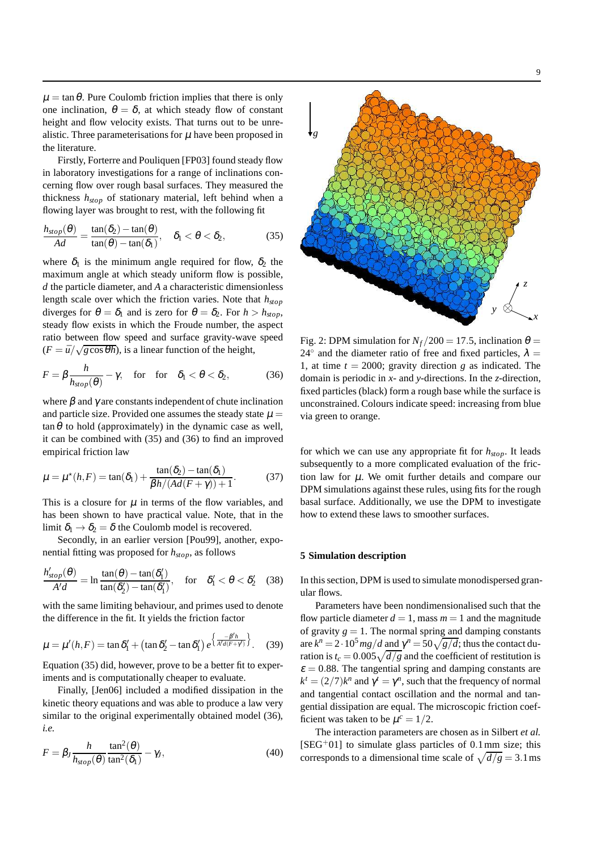$\mu = \tan \theta$ . Pure Coulomb friction implies that there is only one inclination,  $\theta = \delta$ , at which steady flow of constant height and flow velocity exists. That turns out to be unrealistic. Three parameterisations for  $\mu$  have been proposed in the literature.

Firstly, Forterre and Pouliquen [FP03] found steady flow in laboratory investigations for a range of inclinations concerning flow over rough basal surfaces. They measured the thickness *hstop* of stationary material, left behind when a flowing layer was brought to rest, with the following fit

$$
\frac{h_{stop}(\theta)}{Ad} = \frac{\tan(\delta_2) - \tan(\theta)}{\tan(\theta) - \tan(\delta_1)}, \quad \delta_1 < \theta < \delta_2,\tag{35}
$$

where  $\delta_1$  is the minimum angle required for flow,  $\delta_2$  the maximum angle at which steady uniform flow is possible, *d* the particle diameter, and *A* a characteristic dimensionless length scale over which the friction varies. Note that *hstop* diverges for  $\theta = \delta_1$  and is zero for  $\theta = \delta_2$ . For  $h > h_{stop}$ , steady flow exists in which the Froude number, the aspect ratio between flow speed and surface gravity-wave speed  $(F = \bar{u}/\sqrt{g\cos\theta h})$ , is a linear function of the height,

$$
F = \beta \frac{h}{h_{stop}(\theta)} - \gamma, \quad \text{for} \quad \delta_1 < \theta < \delta_2,\tag{36}
$$

where  $\beta$  and  $\gamma$  are constants independent of chute inclination and particle size. Provided one assumes the steady state  $\mu =$  $\tan \theta$  to hold (approximately) in the dynamic case as well, it can be combined with (35) and (36) to find an improved empirical friction law

$$
\mu = \mu^*(h, F) = \tan(\delta_1) + \frac{\tan(\delta_2) - \tan(\delta_1)}{\beta h / (Ad(F + \gamma)) + 1}.
$$
 (37)

This is a closure for  $\mu$  in terms of the flow variables, and has been shown to have practical value. Note, that in the limit  $\delta_1 \rightarrow \delta_2 = \delta$  the Coulomb model is recovered.

Secondly, in an earlier version [Pou99], another, exponential fitting was proposed for *hstop*, as follows

$$
\frac{h'_{stop}(\theta)}{A'd} = \ln \frac{\tan(\theta) - \tan(\delta'_1)}{\tan(\delta'_2) - \tan(\delta'_1)}, \quad \text{for} \quad \delta'_1 < \theta < \delta'_2 \tag{38}
$$

with the same limiting behaviour, and primes used to denote the difference in the fit. It yields the friction factor

$$
\mu = \mu'(h, F) = \tan \delta_1' + \left(\tan \delta_2' - \tan \delta_1'\right) e^{\left\{\frac{-\beta'h}{A'd(F+\gamma')}\right\}}.
$$
 (39)

Equation (35) did, however, prove to be a better fit to experiments and is computationally cheaper to evaluate.

Finally, [Jen06] included a modified dissipation in the kinetic theory equations and was able to produce a law very similar to the original experimentally obtained model (36), *i.e.*

$$
F = \beta_J \frac{h}{h_{stop}(\theta)} \frac{\tan^2(\theta)}{\tan^2(\delta_1)} - \gamma_J,
$$
\n(40)



Fig. 2: DPM simulation for  $N_f/200 = 17.5$ , inclination  $\theta =$ 24 $\degree$  and the diameter ratio of free and fixed particles,  $\lambda =$ 1, at time  $t = 2000$ ; gravity direction *g* as indicated. The domain is periodic in *x*- and *y*-directions. In the *z*-direction, fixed particles (black) form a rough base while the surface is unconstrained. Colours indicate speed: increasing from blue via green to orange.

for which we can use any appropriate fit for *hstop*. It leads subsequently to a more complicated evaluation of the friction law for  $\mu$ . We omit further details and compare our DPM simulations against these rules, using fits for the rough basal surface. Additionally, we use the DPM to investigate how to extend these laws to smoother surfaces.

## **5 Simulation description**

In this section, DPM is used to simulate monodispersed granular flows.

Parameters have been nondimensionalised such that the flow particle diameter  $d = 1$ , mass  $m = 1$  and the magnitude of gravity  $g = 1$ . The normal spring and damping constants are  $k^n = 2 \cdot 10^5 mg/d$  and  $\gamma^n = 50\sqrt{g/d}$ ; thus the contact duration is  $t_c = 0.005 \sqrt{d/g}$  and the coefficient of restitution is  $\epsilon = 0.88$ . The tangential spring and damping constants are  $k^t = (2/7)k^n$  and  $\gamma^t = \gamma^n$ , such that the frequency of normal and tangential contact oscillation and the normal and tangential dissipation are equal. The microscopic friction coefficient was taken to be  $\mu^c = 1/2$ .

The interaction parameters are chosen as in Silbert *et al.*  $[SEG^+01]$  to simulate glass particles of 0.1 mm size; this corresponds to a dimensional time scale of  $\sqrt{d/g} = 3.1$  ms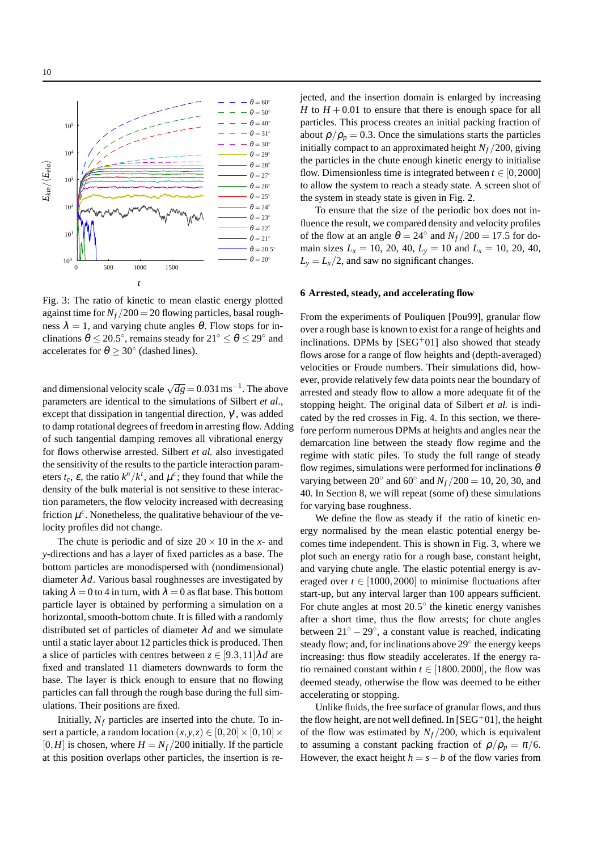

*t*

Fig. 3: The ratio of kinetic to mean elastic energy plotted against time for  $N_f/200 = 20$  flowing particles, basal roughness  $\lambda = 1$ , and varying chute angles  $\theta$ . Flow stops for inclinations  $\theta \leq 20.5^{\circ}$ , remains steady for  $21^{\circ} \leq \theta \leq 29^{\circ}$  and accelerates for  $\theta \geq 30^{\circ}$  (dashed lines).

and dimensional velocity scale  $\sqrt{dg} = 0.031 \,\mathrm{ms}^{-1}$ . The above parameters are identical to the simulations of Silbert *et al*., except that dissipation in tangential direction,  $\gamma^t$ , was added to damp rotational degrees of freedom in arresting flow. Adding of such tangential damping removes all vibrational energy for flows otherwise arrested. Silbert *et al.* also investigated the sensitivity of the results to the particle interaction parameters  $t_c$ ,  $\varepsilon$ , the ratio  $k^n / k^t$ , and  $\mu^c$ ; they found that while the density of the bulk material is not sensitive to these interaction parameters, the flow velocity increased with decreasing friction  $\mu^c$ . Nonetheless, the qualitative behaviour of the velocity profiles did not change.

The chute is periodic and of size  $20 \times 10$  in the *x*- and *y*-directions and has a layer of fixed particles as a base. The bottom particles are monodispersed with (nondimensional) diameter λ*d*. Various basal roughnesses are investigated by taking  $\lambda = 0$  to 4 in turn, with  $\lambda = 0$  as flat base. This bottom particle layer is obtained by performing a simulation on a horizontal, smooth-bottom chute. It is filled with a randomly distributed set of particles of diameter λ*d* and we simulate until a static layer about 12 particles thick is produced. Then a slice of particles with centres between  $z \in [9.3, 11]\lambda d$  are fixed and translated 11 diameters downwards to form the base. The layer is thick enough to ensure that no flowing particles can fall through the rough base during the full simulations. Their positions are fixed.

Initially,  $N_f$  particles are inserted into the chute. To insert a particle, a random location  $(x, y, z) \in [0, 20] \times [0, 10] \times$  $[0,H]$  is chosen, where  $H = N_f/200$  initially. If the particle at this position overlaps other particles, the insertion is rejected, and the insertion domain is enlarged by increasing *H* to  $H + 0.01$  to ensure that there is enough space for all particles. This process creates an initial packing fraction of about  $\rho/\rho_p = 0.3$ . Once the simulations starts the particles initially compact to an approximated height  $N_f/200$ , giving the particles in the chute enough kinetic energy to initialise flow. Dimensionless time is integrated between  $t \in [0, 2000]$ to allow the system to reach a steady state. A screen shot of the system in steady state is given in Fig. 2.

To ensure that the size of the periodic box does not influence the result, we compared density and velocity profiles of the flow at an angle  $\theta = 24^\circ$  and  $N_f/200 = 17.5$  for domain sizes  $L_x = 10$ , 20, 40,  $L_y = 10$  and  $L_x = 10$ , 20, 40,  $L_y = L_x/2$ , and saw no significant changes.

#### **6 Arrested, steady, and accelerating flow**

From the experiments of Pouliquen [Pou99], granular flow over a rough base is known to exist for a range of heights and inclinations. DPMs by  $[SEG^+01]$  also showed that steady flows arose for a range of flow heights and (depth-averaged) velocities or Froude numbers. Their simulations did, however, provide relatively few data points near the boundary of arrested and steady flow to allow a more adequate fit of the stopping height. The original data of Silbert *et al.* is indicated by the red crosses in Fig. 4. In this section, we therefore perform numerous DPMs at heights and angles near the demarcation line between the steady flow regime and the regime with static piles. To study the full range of steady flow regimes, simulations were performed for inclinations  $\theta$ varying between 20 $\degree$  and 60 $\degree$  and  $N_f/200 = 10, 20, 30,$  and 40. In Section 8, we will repeat (some of) these simulations for varying base roughness.

We define the flow as steady if the ratio of kinetic energy normalised by the mean elastic potential energy becomes time independent. This is shown in Fig. 3, where we plot such an energy ratio for a rough base, constant height, and varying chute angle. The elastic potential energy is averaged over  $t \in [1000, 2000]$  to minimise fluctuations after start-up, but any interval larger than 100 appears sufficient. For chute angles at most  $20.5^{\circ}$  the kinetic energy vanishes after a short time, thus the flow arrests; for chute angles between  $21^\circ - 29^\circ$ , a constant value is reached, indicating steady flow; and, for inclinations above 29◦ the energy keeps increasing: thus flow steadily accelerates. If the energy ratio remained constant within  $t \in [1800, 2000]$ , the flow was deemed steady, otherwise the flow was deemed to be either accelerating or stopping.

Unlike fluids, the free surface of granular flows, and thus the flow height, are not well defined. In  $[SEG^+01]$ , the height of the flow was estimated by  $N_f/200$ , which is equivalent to assuming a constant packing fraction of  $\rho/\rho_p = \pi/6$ . However, the exact height  $h = s - b$  of the flow varies from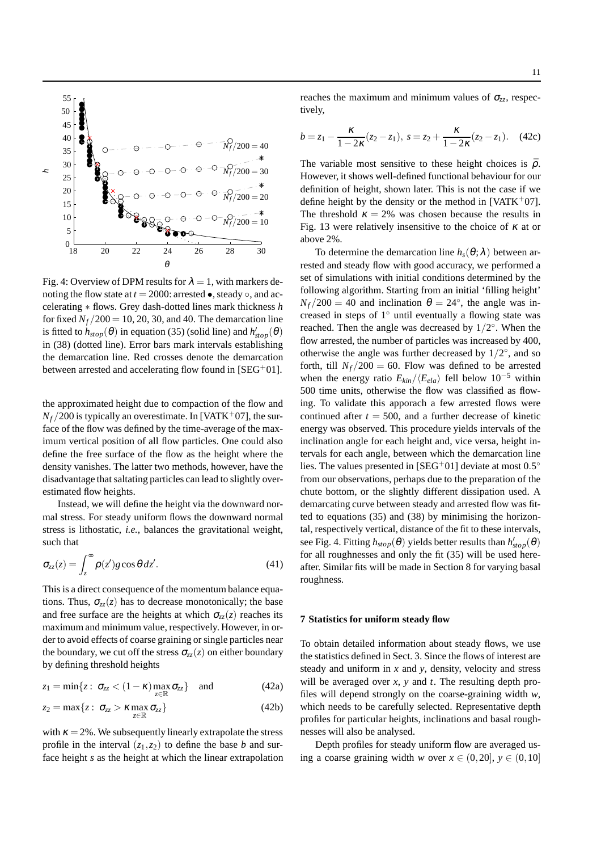

Fig. 4: Overview of DPM results for  $\lambda = 1$ , with markers denoting the flow state at  $t = 2000$ : arrested •, steady  $\circ$ , and accelerating ∗ flows. Grey dash-dotted lines mark thickness *h* for fixed  $N_f/200 = 10, 20, 30,$  and 40. The demarcation line is fitted to  $h_{stop}(\theta)$  in equation (35) (solid line) and  $h'_{stop}(\theta)$ in (38) (dotted line). Error bars mark intervals establishing the demarcation line. Red crosses denote the demarcation between arrested and accelerating flow found in [SEG<sup>+</sup>01].

the approximated height due to compaction of the flow and  $N_f/200$  is typically an overestimate. In [VATK<sup>+</sup>07], the surface of the flow was defined by the time-average of the maximum vertical position of all flow particles. One could also define the free surface of the flow as the height where the density vanishes. The latter two methods, however, have the disadvantage that saltating particles can lead to slightly overestimated flow heights.

Instead, we will define the height via the downward normal stress. For steady uniform flows the downward normal stress is lithostatic, *i.e.*, balances the gravitational weight, such that

$$
\sigma_{zz}(z) = \int_z^{\infty} \rho(z')g\cos\theta \, dz'. \tag{41}
$$

This is a direct consequence of the momentum balance equations. Thus,  $\sigma_{zz}(z)$  has to decrease monotonically; the base and free surface are the heights at which  $\sigma_{zz}(z)$  reaches its maximum and minimum value, respectively. However, in order to avoid effects of coarse graining or single particles near the boundary, we cut off the stress  $\sigma_{zz}(z)$  on either boundary by defining threshold heights

$$
z_1 = \min\{z: \sigma_{zz} < (1 - \kappa) \max_{z \in \mathbb{R}} \sigma_{zz}\} \quad \text{and} \tag{42a}
$$

$$
z_2 = \max\{z: \sigma_{zz} > \kappa \max_{z \in \mathbb{R}} \sigma_{zz}\}\tag{42b}
$$

with  $\kappa = 2\%$ . We subsequently linearly extrapolate the stress profile in the interval  $(z_1, z_2)$  to define the base *b* and surface height *s* as the height at which the linear extrapolation reaches the maximum and minimum values of  $\sigma_{zz}$ , respectively,

$$
b = z_1 - \frac{\kappa}{1 - 2\kappa}(z_2 - z_1), \ s = z_2 + \frac{\kappa}{1 - 2\kappa}(z_2 - z_1). \tag{42c}
$$

The variable most sensitive to these height choices is  $\bar{\rho}$ . However, it shows well-defined functional behaviour for our definition of height, shown later. This is not the case if we define height by the density or the method in [VATK<sup>+</sup>07]. The threshold  $\kappa = 2\%$  was chosen because the results in Fig. 13 were relatively insensitive to the choice of  $\kappa$  at or above 2%.

To determine the demarcation line  $h_s(\theta; \lambda)$  between arrested and steady flow with good accuracy, we performed a set of simulations with initial conditions determined by the following algorithm. Starting from an initial 'filling height'  $N_f/200 = 40$  and inclination  $\theta = 24^\circ$ , the angle was increased in steps of 1◦ until eventually a flowing state was reached. Then the angle was decreased by  $1/2^{\circ}$ . When the flow arrested, the number of particles was increased by 400, otherwise the angle was further decreased by  $1/2^{\circ}$ , and so forth, till  $N_f/200 = 60$ . Flow was defined to be arrested when the energy ratio  $E_{kin}/\langle E_{ela} \rangle$  fell below 10<sup>-5</sup> within 500 time units, otherwise the flow was classified as flowing. To validate this apporach a few arrested flows were continued after  $t = 500$ , and a further decrease of kinetic energy was observed. This procedure yields intervals of the inclination angle for each height and, vice versa, height intervals for each angle, between which the demarcation line lies. The values presented in [SEG<sup>+</sup>01] deviate at most  $0.5^{\circ}$ from our observations, perhaps due to the preparation of the chute bottom, or the slightly different dissipation used. A demarcating curve between steady and arrested flow was fitted to equations (35) and (38) by minimising the horizontal, respectively vertical, distance of the fit to these intervals, see Fig. 4. Fitting  $h_{stop}(\theta)$  yields better results than  $h'_{stop}(\theta)$ for all roughnesses and only the fit (35) will be used hereafter. Similar fits will be made in Section 8 for varying basal roughness.

#### **7 Statistics for uniform steady flow**

To obtain detailed information about steady flows, we use the statistics defined in Sect. 3. Since the flows of interest are steady and uniform in *x* and *y*, density, velocity and stress will be averaged over *x*, *y* and *t*. The resulting depth profiles will depend strongly on the coarse-graining width *w*, which needs to be carefully selected. Representative depth profiles for particular heights, inclinations and basal roughnesses will also be analysed.

Depth profiles for steady uniform flow are averaged using a coarse graining width *w* over  $x \in (0, 20]$ ,  $y \in (0, 10]$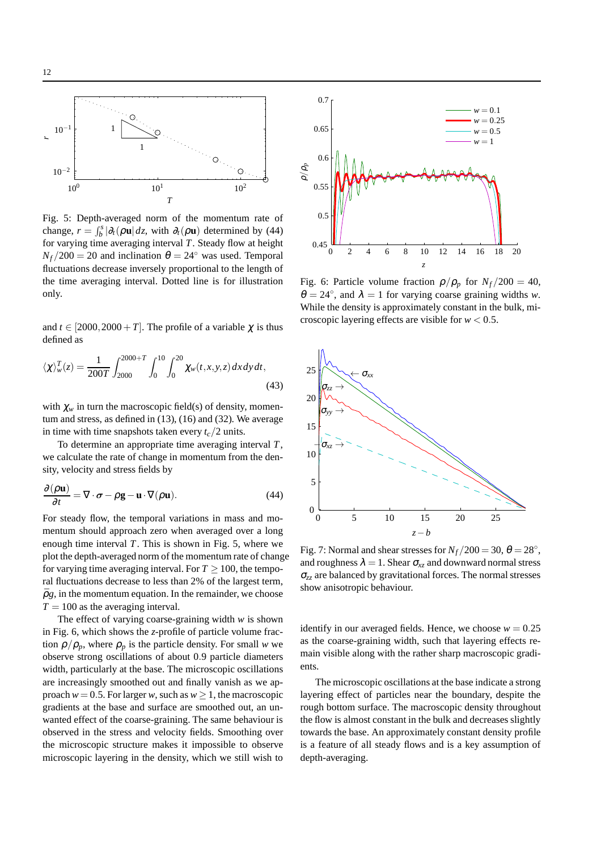

Fig. 5: Depth-averaged norm of the momentum rate of change,  $r = \int_b^s |\partial_t(\rho \mathbf{u}| dz)$ , with  $\partial_t(\rho \mathbf{u})$  determined by (44) for varying time averaging interval *T*. Steady flow at height  $N_f/200 = 20$  and inclination  $\theta = 24^\circ$  was used. Temporal fluctuations decrease inversely proportional to the length of the time averaging interval. Dotted line is for illustration only.

and  $t \in [2000, 2000 + T]$ . The profile of a variable  $\chi$  is thus defined as

$$
\langle \chi \rangle_w^T(z) = \frac{1}{200T} \int_{2000}^{2000+T} \int_0^{10} \int_0^{20} \chi_w(t, x, y, z) \, dx \, dy \, dt,\tag{43}
$$

with  $\chi_w$  in turn the macroscopic field(s) of density, momentum and stress, as defined in (13), (16) and (32). We average in time with time snapshots taken every  $t_c/2$  units.

To determine an appropriate time averaging interval *T*, we calculate the rate of change in momentum from the density, velocity and stress fields by

$$
\frac{\partial(\rho \mathbf{u})}{\partial t} = \nabla \cdot \boldsymbol{\sigma} - \rho \mathbf{g} - \mathbf{u} \cdot \nabla(\rho \mathbf{u}).\tag{44}
$$

For steady flow, the temporal variations in mass and momentum should approach zero when averaged over a long enough time interval *T*. This is shown in Fig. 5, where we plot the depth-averaged norm of the momentum rate of change for varying time averaging interval. For  $T \ge 100$ , the temporal fluctuations decrease to less than 2% of the largest term,  $\bar{\rho}g$ , in the momentum equation. In the remainder, we choose  $T = 100$  as the averaging interval.

The effect of varying coarse-graining width *w* is shown in Fig. 6, which shows the *z*-profile of particle volume fraction  $\rho/\rho_p$ , where  $\rho_p$  is the particle density. For small *w* we observe strong oscillations of about 0.9 particle diameters width, particularly at the base. The microscopic oscillations are increasingly smoothed out and finally vanish as we approach  $w = 0.5$ . For larger *w*, such as  $w > 1$ , the macroscopic gradients at the base and surface are smoothed out, an unwanted effect of the coarse-graining. The same behaviour is observed in the stress and velocity fields. Smoothing over the microscopic structure makes it impossible to observe microscopic layering in the density, which we still wish to



Fig. 6: Particle volume fraction  $\rho/\rho_p$  for  $N_f/200 = 40$ ,  $\theta = 24^{\circ}$ , and  $\lambda = 1$  for varying coarse graining widths *w*. While the density is approximately constant in the bulk, microscopic layering effects are visible for  $w < 0.5$ .



Fig. 7: Normal and shear stresses for  $N_f/200 = 30, \theta = 28^\circ$ , and roughness  $\lambda = 1$ . Shear  $\sigma_{xz}$  and downward normal stress <sup>σ</sup>*zz* are balanced by gravitational forces. The normal stresses show anisotropic behaviour.

identify in our averaged fields. Hence, we choose  $w = 0.25$ as the coarse-graining width, such that layering effects remain visible along with the rather sharp macroscopic gradients.

The microscopic oscillations at the base indicate a strong layering effect of particles near the boundary, despite the rough bottom surface. The macroscopic density throughout the flow is almost constant in the bulk and decreases slightly towards the base. An approximately constant density profile is a feature of all steady flows and is a key assumption of depth-averaging.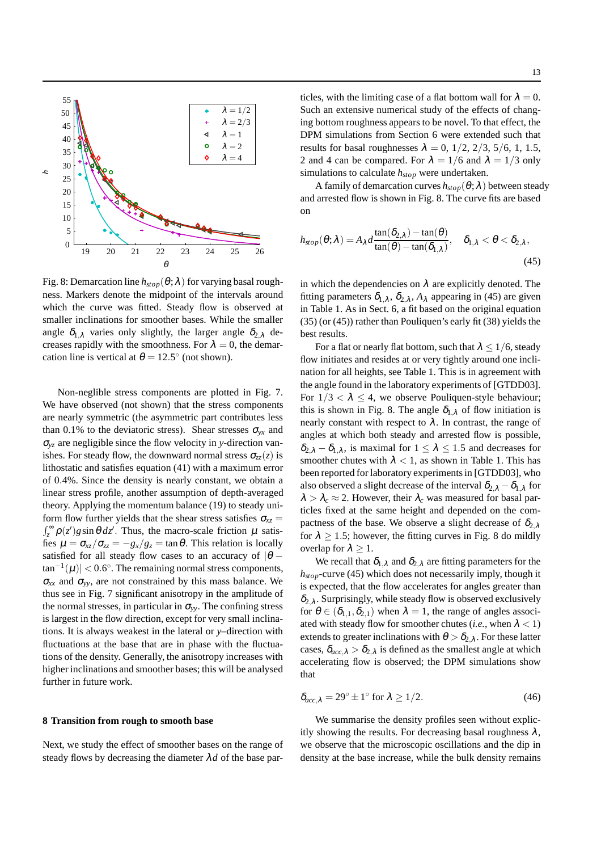

Fig. 8: Demarcation line  $h_{stop}(\theta; \lambda)$  for varying basal roughness. Markers denote the midpoint of the intervals around which the curve was fitted. Steady flow is observed at smaller inclinations for smoother bases. While the smaller angle  $\delta_{1,\lambda}$  varies only slightly, the larger angle  $\delta_{2,\lambda}$  decreases rapidly with the smoothness. For  $\lambda = 0$ , the demarcation line is vertical at  $\theta = 12.5^{\circ}$  (not shown).

Non-neglible stress components are plotted in Fig. 7. We have observed (not shown) that the stress components are nearly symmetric (the asymmetric part contributes less than 0.1% to the deviatoric stress). Shear stresses  $\sigma_{yx}$  and <sup>σ</sup>*yz* are negligible since the flow velocity in *y*-direction vanishes. For steady flow, the downward normal stress  $\sigma_{zz}(z)$  is lithostatic and satisfies equation (41) with a maximum error of 0.4%. Since the density is nearly constant, we obtain a linear stress profile, another assumption of depth-averaged theory. Applying the momentum balance (19) to steady uniform flow further yields that the shear stress satisfies  $\sigma_{xz}$  $\int_{z}^{\infty} \rho(z')g \sin \theta dz'$ . Thus, the macro-scale friction  $\mu$  satisfies  $\mu = \sigma_{xz}/\sigma_{zz} = -g_x/g_z = \tan \theta$ . This relation is locally satisfied for all steady flow cases to an accuracy of  $|\theta \tan^{-1}(\mu) < 0.6^{\circ}$ . The remaining normal stress components,  $\sigma_{xx}$  and  $\sigma_{yy}$ , are not constrained by this mass balance. We thus see in Fig. 7 significant anisotropy in the amplitude of the normal stresses, in particular in  $\sigma_{yy}$ . The confining stress is largest in the flow direction, except for very small inclinations. It is always weakest in the lateral or *y*–direction with fluctuations at the base that are in phase with the fluctuations of the density. Generally, the anisotropy increases with higher inclinations and smoother bases; this will be analysed further in future work.

#### **8 Transition from rough to smooth base**

Next, we study the effect of smoother bases on the range of steady flows by decreasing the diameter  $\lambda d$  of the base particles, with the limiting case of a flat bottom wall for  $\lambda = 0$ . Such an extensive numerical study of the effects of changing bottom roughness appears to be novel. To that effect, the DPM simulations from Section 6 were extended such that results for basal roughnesses  $\lambda = 0$ ,  $1/2$ ,  $2/3$ ,  $5/6$ , 1, 1.5, 2 and 4 can be compared. For  $\lambda = 1/6$  and  $\lambda = 1/3$  only simulations to calculate *hstop* were undertaken.

A family of demarcation curves  $h_{stop}(\theta; \lambda)$  between steady and arrested flow is shown in Fig. 8. The curve fits are based on

$$
h_{stop}(\theta; \lambda) = A_{\lambda} d \frac{\tan(\delta_{2,\lambda}) - \tan(\theta)}{\tan(\theta) - \tan(\delta_{1,\lambda})}, \quad \delta_{1,\lambda} < \theta < \delta_{2,\lambda},
$$
\n(45)

in which the dependencies on  $\lambda$  are explicitly denoted. The fitting parameters  $\delta_{1,\lambda}$ ,  $\delta_{2,\lambda}$ ,  $A_{\lambda}$  appearing in (45) are given in Table 1. As in Sect. 6, a fit based on the original equation (35) (or (45)) rather than Pouliquen's early fit (38) yields the best results.

For a flat or nearly flat bottom, such that  $\lambda \leq 1/6$ , steady flow initiates and resides at or very tightly around one inclination for all heights, see Table 1. This is in agreement with the angle found in the laboratory experiments of [GTDD03]. For  $1/3 < \lambda \leq 4$ , we observe Pouliquen-style behaviour; this is shown in Fig. 8. The angle  $\delta_{1,\lambda}$  of flow initiation is nearly constant with respect to  $\lambda$ . In contrast, the range of angles at which both steady and arrested flow is possible,  $\delta_{2,\lambda} - \delta_{1,\lambda}$ , is maximal for  $1 \leq \lambda \leq 1.5$  and decreases for smoother chutes with  $\lambda < 1$ , as shown in Table 1. This has been reported for laboratory experiments in [GTDD03], who also observed a slight decrease of the interval  $\delta_{2,\lambda} - \delta_{1,\lambda}$  for  $\lambda > \lambda_c \approx 2$ . However, their  $\lambda_c$  was measured for basal particles fixed at the same height and depended on the compactness of the base. We observe a slight decrease of  $\delta_{2,\lambda}$ for  $\lambda \geq 1.5$ ; however, the fitting curves in Fig. 8 do mildly overlap for  $\lambda \geq 1$ .

We recall that  $\delta_{1,\lambda}$  and  $\delta_{2,\lambda}$  are fitting parameters for the *hstop*-curve (45) which does not necessarily imply, though it is expected, that the flow accelerates for angles greater than  $\delta_{2,\lambda}$ . Surprisingly, while steady flow is observed exclusively for  $\theta \in (\delta_{1,1}, \delta_{2,1})$  when  $\lambda = 1$ , the range of angles associated with steady flow for smoother chutes (*i.e.*, when  $\lambda < 1$ ) extends to greater inclinations with  $\theta > \delta_{2,\lambda}$ . For these latter cases,  $\delta_{acc,\lambda} > \delta_{2,\lambda}$  is defined as the smallest angle at which accelerating flow is observed; the DPM simulations show that

$$
\delta_{acc,\lambda} = 29^{\circ} \pm 1^{\circ} \text{ for } \lambda \ge 1/2. \tag{46}
$$

We summarise the density profiles seen without explicitly showing the results. For decreasing basal roughness  $\lambda$ , we observe that the microscopic oscillations and the dip in density at the base increase, while the bulk density remains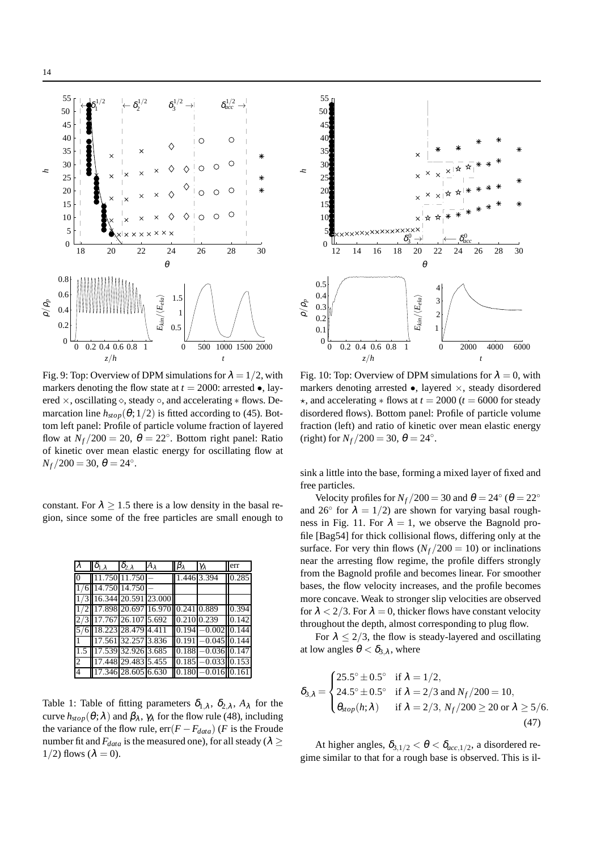

θ *h* $\delta^0$  $\beta_3^0 \rightarrow \beta_4$  ←  $\delta_5$  $\mathbf{0}$ *acc* 12 14 16 18 20 22 24 26 28 30 0 5 10 15  $\overline{20}$ 25  $3<sup>0</sup>$ 35  $\overline{A}$ 45 50 55 *z*/*h* ρ/ρ*p* 0 0.2 0.4 0.6 0.8 1  $\Omega$ 0.1 0.2 0.3 0.4 0.5 *t*  $E_{kin}/\langle E_{ela}\rangle$ 0 2000 4000 6000 1 2 3 4

Fig. 9: Top: Overview of DPM simulations for  $\lambda = 1/2$ , with markers denoting the flow state at  $t = 2000$ : arrested  $\bullet$ , layered ×, oscillating ◇, steady ○, and accelerating \* flows. Demarcation line  $h_{stop}(\theta;1/2)$  is fitted according to (45). Bottom left panel: Profile of particle volume fraction of layered flow at  $N_f/200 = 20$ ,  $\theta = 22^\circ$ . Bottom right panel: Ratio of kinetic over mean elastic energy for oscillating flow at  $N_f/200 = 30, \theta = 24^\circ.$ 

constant. For  $\lambda \geq 1.5$  there is a low density in the basal region, since some of the free particles are small enough to

| λ              | $\lceil \delta_{1, \lambda} \rceil$        | $\delta_{2,\lambda}$ | $A_\lambda$                          | $\beta_{\lambda}$ | γλ                                                 | err   |
|----------------|--------------------------------------------|----------------------|--------------------------------------|-------------------|----------------------------------------------------|-------|
| $\overline{0}$ | 11.750 11.750                              |                      |                                      | 1.446 3.394       |                                                    | 0.285 |
|                | 1/6 14.750 14.750                          |                      |                                      |                   |                                                    |       |
|                |                                            |                      | 1/3 16.344 20.591 23.000             |                   |                                                    |       |
|                |                                            |                      | 1/2 17.898 20.697 16.970 0.241 0.889 |                   |                                                    | 0.394 |
|                | 2/3 17.767 26.107 5.692                    |                      |                                      |                   | 0.210 0.239                                        | 0.142 |
|                | 5/6 18.223 28.479 4.411                    |                      |                                      |                   | $\vert 0.194 \vert -0.002 \vert \vert 0.144 \vert$ |       |
| $\mathbf{1}$   | 17.561 32.257 3.836                        |                      |                                      |                   | $\vert 0.191 \vert -0.045 \vert \vert 0.144 \vert$ |       |
| $1.5\,$        | $17.539\overline{)32.926\overline{)3.685}$ |                      |                                      |                   | $0.188 - 0.036$ 0.147                              |       |
| $\overline{2}$ | 17.448 29.483 5.455                        |                      |                                      |                   | $ 0.185  - 0.033   0.153 $                         |       |
| $\overline{4}$ | 17.346 28.605 6.630                        |                      |                                      |                   | $ 0.180  - 0.016  0.161$                           |       |

Table 1: Table of fitting parameters  $\delta_{1,\lambda}$ ,  $\delta_{2,\lambda}$ ,  $A_{\lambda}$  for the curve  $h_{stop}(\theta; \lambda)$  and  $\beta_{\lambda}, \gamma_{\lambda}$  for the flow rule (48), including the variance of the flow rule,  $err(F - F_{data})$  (*F* is the Froude number fit and  $F_{data}$  is the measured one), for all steady ( $\lambda \geq$  $1/2$ ) flows  $(\lambda = 0)$ .

Fig. 10: Top: Overview of DPM simulations for  $\lambda = 0$ , with markers denoting arrested  $\bullet$ , layered  $\times$ , steady disordered ⋆, and accelerating ∗ flows at *t* = 2000 (*t* = 6000 for steady disordered flows). Bottom panel: Profile of particle volume fraction (left) and ratio of kinetic over mean elastic energy (right) for  $N_f/200 = 30, \theta = 24^\circ$ .

sink a little into the base, forming a mixed layer of fixed and free particles.

Velocity profiles for  $N_f/200 = 30$  and  $\theta = 24^\circ$  ( $\theta = 22^\circ$ and 26 $\degree$  for  $\lambda = 1/2$ ) are shown for varying basal roughness in Fig. 11. For  $\lambda = 1$ , we observe the Bagnold profile [Bag54] for thick collisional flows, differing only at the surface. For very thin flows  $(N_f/200 = 10)$  or inclinations near the arresting flow regime, the profile differs strongly from the Bagnold profile and becomes linear. For smoother bases, the flow velocity increases, and the profile becomes more concave. Weak to stronger slip velocities are observed for  $\lambda < 2/3$ . For  $\lambda = 0$ , thicker flows have constant velocity throughout the depth, almost corresponding to plug flow.

For  $\lambda \leq 2/3$ , the flow is steady-layered and oscillating at low angles  $\theta < \delta_{3,\lambda}$ , where

$$
\delta_{3,\lambda} = \begin{cases}\n25.5^{\circ} \pm 0.5^{\circ} & \text{if } \lambda = 1/2, \\
24.5^{\circ} \pm 0.5^{\circ} & \text{if } \lambda = 2/3 \text{ and } N_f/200 = 10, \\
\theta_{stop}(h;\lambda) & \text{if } \lambda = 2/3, N_f/200 \ge 20 \text{ or } \lambda \ge 5/6.\n\end{cases}
$$
\n(47)

At higher angles,  $\delta_{3,1/2} < \theta < \delta_{acc,1/2}$ , a disordered regime similar to that for a rough base is observed. This is il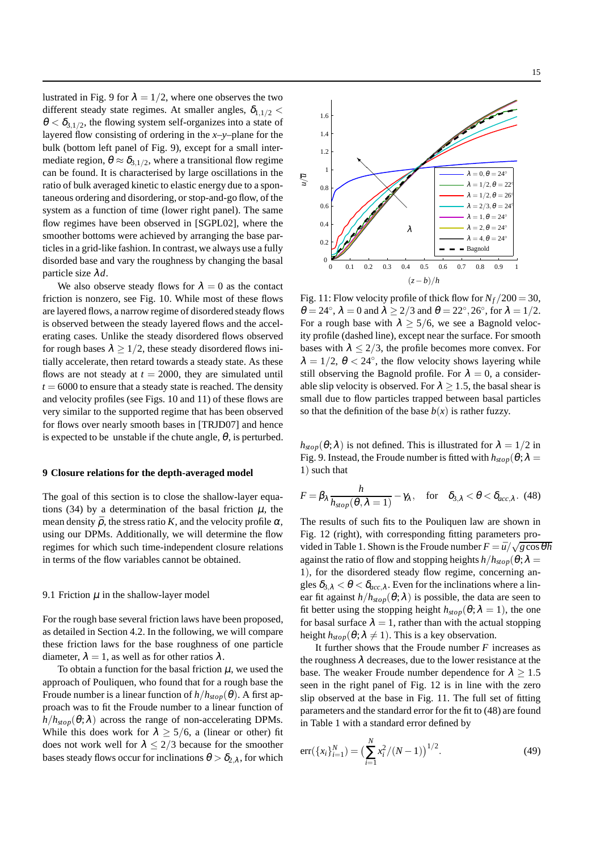lustrated in Fig. 9 for  $\lambda = 1/2$ , where one observes the two different steady state regimes. At smaller angles,  $\delta_{1,1/2}$  <  $\theta < \delta_{3,1/2}$ , the flowing system self-organizes into a state of layered flow consisting of ordering in the *x*–*y*–plane for the bulk (bottom left panel of Fig. 9), except for a small intermediate region,  $\theta \approx \delta_{3,1/2}$ , where a transitional flow regime can be found. It is characterised by large oscillations in the ratio of bulk averaged kinetic to elastic energy due to a spontaneous ordering and disordering, or stop-and-go flow, of the system as a function of time (lower right panel). The same flow regimes have been observed in [SGPL02], where the smoother bottoms were achieved by arranging the base particles in a grid-like fashion. In contrast, we always use a fully disorded base and vary the roughness by changing the basal particle size λ*d*.

We also observe steady flows for  $\lambda = 0$  as the contact friction is nonzero, see Fig. 10. While most of these flows are layered flows, a narrow regime of disordered steady flows is observed between the steady layered flows and the accelerating cases. Unlike the steady disordered flows observed for rough bases  $\lambda \geq 1/2$ , these steady disordered flows initially accelerate, then retard towards a steady state. As these flows are not steady at  $t = 2000$ , they are simulated until  $t = 6000$  to ensure that a steady state is reached. The density and velocity profiles (see Figs. 10 and 11) of these flows are very similar to the supported regime that has been observed for flows over nearly smooth bases in [TRJD07] and hence is expected to be unstable if the chute angle,  $\theta$ , is perturbed.

#### **9 Closure relations for the depth-averaged model**

The goal of this section is to close the shallow-layer equations (34) by a determination of the basal friction  $\mu$ , the mean density  $\bar{\rho}$ , the stress ratio *K*, and the velocity profile  $\alpha$ , using our DPMs. Additionally, we will determine the flow regimes for which such time-independent closure relations in terms of the flow variables cannot be obtained.

## 9.1 Friction  $\mu$  in the shallow-layer model

For the rough base several friction laws have been proposed, as detailed in Section 4.2. In the following, we will compare these friction laws for the base roughness of one particle diameter,  $\lambda = 1$ , as well as for other ratios  $\lambda$ .

To obtain a function for the basal friction  $\mu$ , we used the approach of Pouliquen, who found that for a rough base the Froude number is a linear function of  $h/h_{stop}(\theta)$ . A first approach was to fit the Froude number to a linear function of  $h/h_{stop}(\theta; \lambda)$  across the range of non-accelerating DPMs. While this does work for  $\lambda \geq 5/6$ , a (linear or other) fit does not work well for  $\lambda \leq 2/3$  because for the smoother bases steady flows occur for inclinations  $\theta > \delta_{2,\lambda}$ , for which



Fig. 11: Flow velocity profile of thick flow for  $N_f/200 = 30$ ,  $\theta = 24^{\circ}$ ,  $\lambda = 0$  and  $\lambda \ge 2/3$  and  $\theta = 22^{\circ}, 26^{\circ}$ , for  $\lambda = 1/2$ . For a rough base with  $\lambda \geq 5/6$ , we see a Bagnold velocity profile (dashed line), except near the surface. For smooth bases with  $\lambda \leq 2/3$ , the profile becomes more convex. For  $\lambda = 1/2$ ,  $\theta < 24^{\circ}$ , the flow velocity shows layering while still observing the Bagnold profile. For  $\lambda = 0$ , a considerable slip velocity is observed. For  $\lambda \geq 1.5$ , the basal shear is small due to flow particles trapped between basal particles so that the definition of the base  $b(x)$  is rather fuzzy.

 $h_{stop}(\theta; \lambda)$  is not defined. This is illustrated for  $\lambda = 1/2$  in Fig. 9. Instead, the Froude number is fitted with  $h_{stop}(\theta; \lambda =$ 1) such that

$$
F = \beta_{\lambda} \frac{h}{h_{stop}(\theta, \lambda = 1)} - \gamma_{\lambda}, \quad \text{for} \quad \delta_{3,\lambda} < \theta < \delta_{acc,\lambda}.
$$
 (48)

The results of such fits to the Pouliquen law are shown in Fig. 12 (right), with corresponding fitting parameters provided in Table 1. Shown is the Froude number  $F = \bar{u}/\sqrt{g\cos\theta h}$ against the ratio of flow and stopping heights  $h/h_{stop}(\theta; \lambda =$ 1), for the disordered steady flow regime, concerning angles  $\delta_{3,\lambda} < \theta < \delta_{acc,\lambda}$ . Even for the inclinations where a linear fit against  $h/h_{stop}(\theta; \lambda)$  is possible, the data are seen to fit better using the stopping height  $h_{stop}(\theta; \lambda = 1)$ , the one for basal surface  $\lambda = 1$ , rather than with the actual stopping height  $h_{stop}(\theta; \lambda \neq 1)$ . This is a key observation.

It further shows that the Froude number *F* increases as the roughness  $\lambda$  decreases, due to the lower resistance at the base. The weaker Froude number dependence for  $\lambda \geq 1.5$ seen in the right panel of Fig. 12 is in line with the zero slip observed at the base in Fig. 11. The full set of fitting parameters and the standard error for the fit to (48) are found in Table 1 with a standard error defined by

$$
err({xi}_{i=1}^N) = \left(\sum_{i=1}^N x_i^2/(N-1)\right)^{1/2}.
$$
 (49)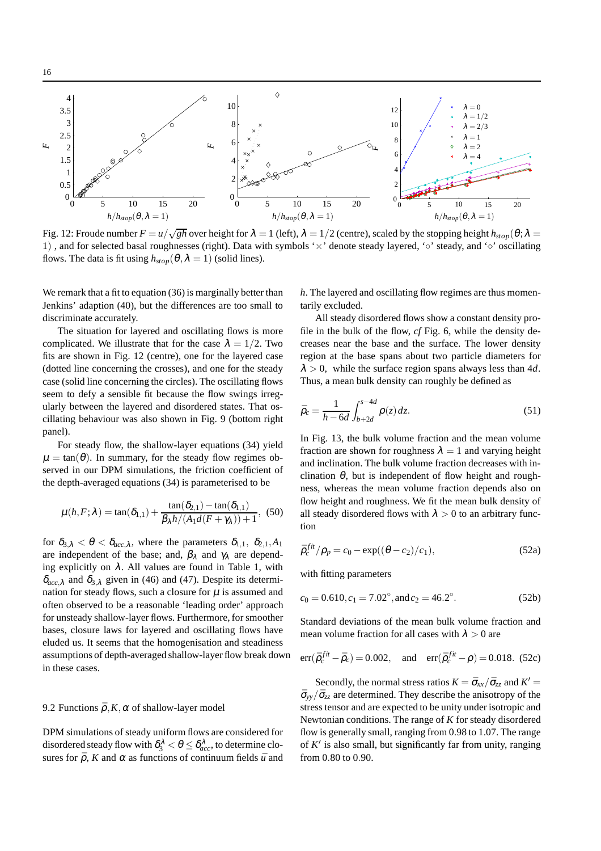

Fig. 12: Froude number  $F = u/\sqrt{gh}$  over height for  $\lambda = 1$  (left),  $\lambda = 1/2$  (centre), scaled by the stopping height  $h_{stop}(\theta; \lambda = 1/2)$ 1) , and for selected basal roughnesses (right). Data with symbols '×' denote steady layered, '◦' steady, and '⋄' oscillating flows. The data is fit using  $h_{stop}(\theta, \lambda = 1)$  (solid lines).

We remark that a fit to equation (36) is marginally better than Jenkins' adaption (40), but the differences are too small to discriminate accurately.

The situation for layered and oscillating flows is more complicated. We illustrate that for the case  $\lambda = 1/2$ . Two fits are shown in Fig. 12 (centre), one for the layered case (dotted line concerning the crosses), and one for the steady case (solid line concerning the circles). The oscillating flows seem to defy a sensible fit because the flow swings irregularly between the layered and disordered states. That oscillating behaviour was also shown in Fig. 9 (bottom right panel).

For steady flow, the shallow-layer equations (34) yield  $\mu = \tan(\theta)$ . In summary, for the steady flow regimes observed in our DPM simulations, the friction coefficient of the depth-averaged equations (34) is parameterised to be

$$
\mu(h, F; \lambda) = \tan(\delta_{1,1}) + \frac{\tan(\delta_{2,1}) - \tan(\delta_{1,1})}{\beta_{\lambda} h / (A_1 d(F + \gamma_{\lambda})) + 1},
$$
 (50)

for  $\delta_{3,\lambda} < \theta < \delta_{acc,\lambda}$ , where the parameters  $\delta_{1,1}, \ \delta_{2,1}, A_1$ are independent of the base; and,  $\beta_{\lambda}$  and  $\gamma_{\lambda}$  are depending explicitly on  $\lambda$ . All values are found in Table 1, with  $\delta_{acc,\lambda}$  and  $\delta_{3,\lambda}$  given in (46) and (47). Despite its determination for steady flows, such a closure for  $\mu$  is assumed and often observed to be a reasonable 'leading order' approach for unsteady shallow-layer flows. Furthermore, for smoother bases, closure laws for layered and oscillating flows have eluded us. It seems that the homogenisation and steadiness assumptions of depth-averaged shallow-layer flow break down in these cases.

#### 9.2 Functions  $\bar{\rho}$ , *K*,  $\alpha$  of shallow-layer model

DPM simulations of steady uniform flows are considered for disordered steady flow with  $\delta_3^{\lambda} < \theta \leq \delta_{acc}^{\lambda}$ , to determine closures for  $\bar{\rho}$ , *K* and  $\alpha$  as functions of continuum fields  $\bar{u}$  and

*h*. The layered and oscillating flow regimes are thus momentarily excluded.

All steady disordered flows show a constant density profile in the bulk of the flow, *cf* Fig. 6, while the density decreases near the base and the surface. The lower density region at the base spans about two particle diameters for  $\lambda > 0$ , while the surface region spans always less than 4*d*. Thus, a mean bulk density can roughly be defined as

$$
\bar{\rho}_c = \frac{1}{h - 6d} \int_{b+2d}^{s-4d} \rho(z) \, dz. \tag{51}
$$

In Fig. 13, the bulk volume fraction and the mean volume fraction are shown for roughness  $\lambda = 1$  and varying height and inclination. The bulk volume fraction decreases with inclination  $\theta$ , but is independent of flow height and roughness, whereas the mean volume fraction depends also on flow height and roughness. We fit the mean bulk density of all steady disordered flows with  $\lambda > 0$  to an arbitrary function

$$
\bar{p}_c^{fit} / \rho_p = c_0 - \exp((\theta - c_2) / c_1), \qquad (52a)
$$

with fitting parameters

$$
c_0 = 0.610, c_1 = 7.02^\circ, \text{and } c_2 = 46.2^\circ.
$$
 (52b)

Standard deviations of the mean bulk volume fraction and mean volume fraction for all cases with  $\lambda > 0$  are

$$
\text{err}(\bar{\rho}_c^{fit} - \bar{\rho}_c) = 0.002
$$
, and  $\text{err}(\bar{\rho}_c^{fit} - \rho) = 0.018$ . (52c)

Secondly, the normal stress ratios  $K = \bar{\sigma}_{xx}/\bar{\sigma}_{zz}$  and  $K' = \bar{\sigma}_{xx}/\bar{\sigma}_{zz}$  $\bar{\sigma}_{yy}/\bar{\sigma}_{zz}$  are determined. They describe the anisotropy of the stress tensor and are expected to be unity under isotropic and Newtonian conditions. The range of *K* for steady disordered flow is generally small, ranging from 0.98 to 1.07. The range of *K* ′ is also small, but significantly far from unity, ranging from 0.80 to 0.90.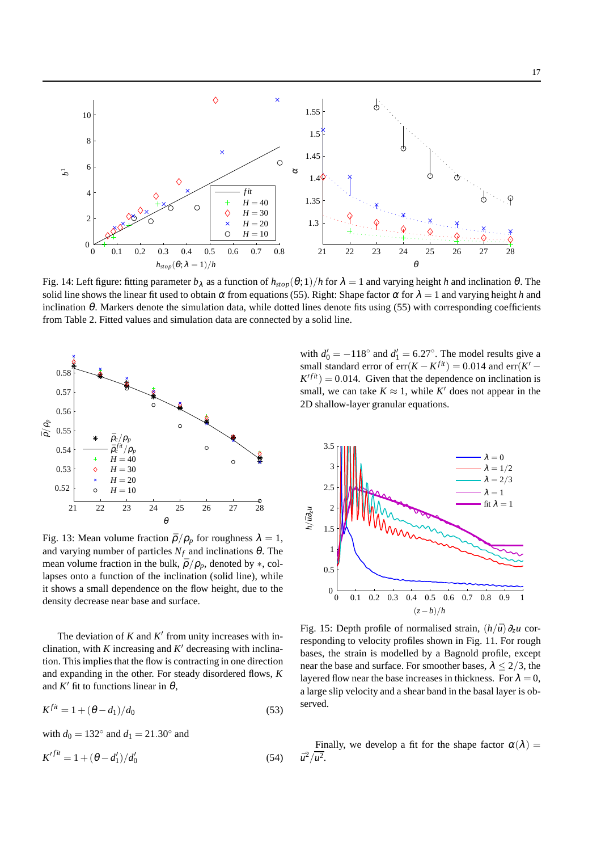

Fig. 14: Left figure: fitting parameter  $b_{\lambda}$  as a function of  $h_{stop}(\theta;1)/h$  for  $\lambda = 1$  and varying height *h* and inclination  $\theta$ . The solid line shows the linear fit used to obtain  $\alpha$  from equations (55). Right: Shape factor  $\alpha$  for  $\lambda = 1$  and varying height *h* and inclination  $\theta$ . Markers denote the simulation data, while dotted lines denote fits using (55) with corresponding coefficients from Table 2. Fitted values and simulation data are connected by a solid line.



Fig. 13: Mean volume fraction  $\bar{\rho}/\rho_p$  for roughness  $\lambda = 1$ , and varying number of particles  $N_f$  and inclinations  $\theta$ . The mean volume fraction in the bulk,  $\bar{\rho}/\rho_p$ , denoted by  $*$ , collapses onto a function of the inclination (solid line), while it shows a small dependence on the flow height, due to the density decrease near base and surface.

The deviation of  $K$  and  $K'$  from unity increases with inclination, with  $K$  increasing and  $K'$  decreasing with inclination. This implies that the flow is contracting in one direction and expanding in the other. For steady disordered flows, *K* and  $K'$  fit to functions linear in  $\theta$ ,

$$
K^{fit} = 1 + (\theta - d_1)/d_0 \tag{53}
$$

with  $d_0 = 132^\circ$  and  $d_1 = 21.30^\circ$  and

$$
K'^{fit} = 1 + (\theta - d'_1)/d'_0 \tag{54}
$$

with  $d'_0 = -118^\circ$  and  $d'_1 = 6.27^\circ$ . The model results give a small standard error of  $err(K - K^{fit}) = 0.014$  and  $err(K' - K^{fit})$  $K^{/\text{fit}}$ ) = 0.014. Given that the dependence on inclination is small, we can take  $K \approx 1$ , while  $K'$  does not appear in the 2D shallow-layer granular equations.



Fig. 15: Depth profile of normalised strain,  $(h/\bar{u})\partial_z u$  corresponding to velocity profiles shown in Fig. 11. For rough bases, the strain is modelled by a Bagnold profile, except near the base and surface. For smoother bases,  $\lambda \leq 2/3$ , the layered flow near the base increases in thickness. For  $\lambda = 0$ , a large slip velocity and a shear band in the basal layer is observed.

Finally, we develop a fit for the shape factor  $\alpha(\lambda)$  =  $\overline{u^2}/\overline{u^2}$ .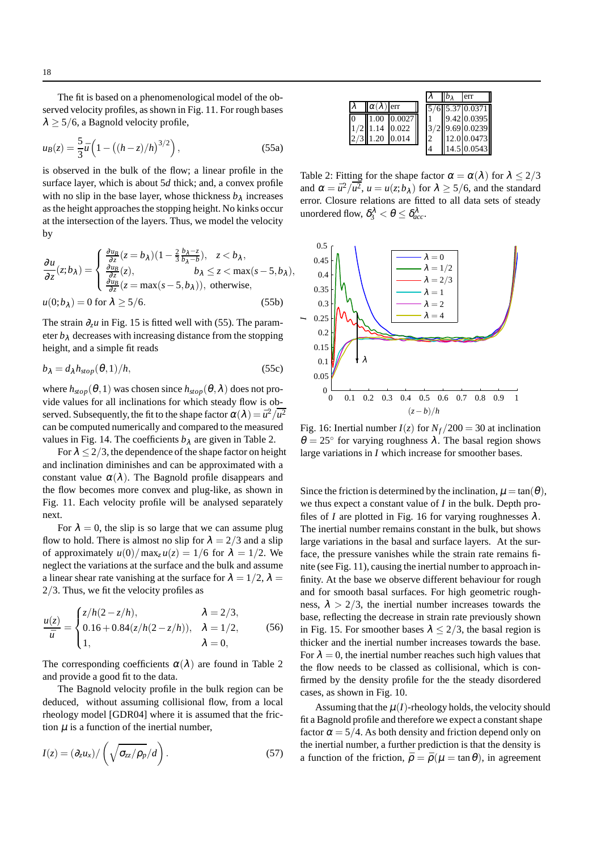$$
u_B(z) = \frac{5}{3}\bar{u}\left(1 - \left((h - z)/h\right)^{3/2}\right),\tag{55a}
$$

is observed in the bulk of the flow; a linear profile in the surface layer, which is about 5*d* thick; and, a convex profile with no slip in the base layer, whose thickness  $b_{\lambda}$  increases as the height approaches the stopping height. No kinks occur at the intersection of the layers. Thus, we model the velocity by

$$
\frac{\partial u}{\partial z}(z; b_{\lambda}) = \begin{cases}\n\frac{\partial u_B}{\partial z}(z = b_{\lambda})(1 - \frac{2}{3}\frac{b_{\lambda} - z}{b_{\lambda} - b}), & z < b_{\lambda}, \\
\frac{\partial u_B}{\partial z}(z), & b_{\lambda} \le z < \max(s - 5, b_{\lambda}), \\
\frac{\partial u_B}{\partial z}(z = \max(s - 5, b_{\lambda})), \text{ otherwise},\n\end{cases}
$$
\n
$$
u(0; b_{\lambda}) = 0 \text{ for } \lambda \ge 5/6.
$$
\n(55b)

The strain  $\partial_z u$  in Fig. 15 is fitted well with (55). The parameter  $b_{\lambda}$  decreases with increasing distance from the stopping height, and a simple fit reads

$$
b_{\lambda} = d_{\lambda} h_{stop}(\theta, 1)/h, \tag{55c}
$$

where  $h_{stop}(\theta,1)$  was chosen since  $h_{stop}(\theta,\lambda)$  does not provide values for all inclinations for which steady flow is observed. Subsequently, the fit to the shape factor  $\alpha(\lambda) = \bar{u}^2/\overline{u^2}$ can be computed numerically and compared to the measured values in Fig. 14. The coefficients  $b_{\lambda}$  are given in Table 2.

For  $\lambda \leq 2/3$ , the dependence of the shape factor on height and inclination diminishes and can be approximated with a constant value  $\alpha(\lambda)$ . The Bagnold profile disappears and the flow becomes more convex and plug-like, as shown in Fig. 11. Each velocity profile will be analysed separately next.

For  $\lambda = 0$ , the slip is so large that we can assume plug flow to hold. There is almost no slip for  $\lambda = 2/3$  and a slip of approximately  $u(0)/\max_z u(z) = 1/6$  for  $\lambda = 1/2$ . We neglect the variations at the surface and the bulk and assume a linear shear rate vanishing at the surface for  $\lambda = 1/2$ ,  $\lambda =$ 2/3. Thus, we fit the velocity profiles as

$$
\frac{u(z)}{\bar{u}} = \begin{cases} z/h(2 - z/h), & \lambda = 2/3, \\ 0.16 + 0.84(z/h(2 - z/h)), & \lambda = 1/2, \\ 1, & \lambda = 0, \end{cases}
$$
(56)

The corresponding coefficients  $\alpha(\lambda)$  are found in Table 2 and provide a good fit to the data.

The Bagnold velocity profile in the bulk region can be deduced, without assuming collisional flow, from a local rheology model [GDR04] where it is assumed that the friction  $\mu$  is a function of the inertial number,

$$
I(z) = \left(\partial_z u_x\right) / \left(\sqrt{\sigma_{zz}/\rho_p}/d\right).
$$
 (57)

|                       |                  |   | err                     |
|-----------------------|------------------|---|-------------------------|
| $\alpha(\lambda)$ err |                  |   | $5/6$ 5.37 0.0371       |
|                       | $1.00$ 0.0027    |   | $9.42 \mid 0.0395 \mid$ |
|                       | $1/2$ 1.14 0.022 |   | $3/2$ 9.69 0.0239       |
| $2/3$ 1.20 0.014      |                  |   | 12.0 0.0473             |
|                       |                  | 4 | 14.5 0.0543             |

Table 2: Fitting for the shape factor  $\alpha = \alpha(\lambda)$  for  $\lambda \leq 2/3$ and  $\alpha = \bar{u}^2 / \bar{u}^2$ ,  $u = u(z; b_\lambda)$  for  $\lambda \geq 5/6$ , and the standard error. Closure relations are fitted to all data sets of steady unordered flow,  $\delta_3^{\lambda} < \theta \leq \delta_{acc}^{\lambda}$ .



Fig. 16: Inertial number  $I(z)$  for  $N_f/200 = 30$  at inclination  $\theta = 25^{\circ}$  for varying roughness  $\lambda$ . The basal region shows large variations in *I* which increase for smoother bases.

Since the friction is determined by the inclination,  $\mu = \tan(\theta)$ , we thus expect a constant value of *I* in the bulk. Depth profiles of *I* are plotted in Fig. 16 for varying roughnesses  $\lambda$ . The inertial number remains constant in the bulk, but shows large variations in the basal and surface layers. At the surface, the pressure vanishes while the strain rate remains finite (see Fig. 11), causing the inertial number to approach infinity. At the base we observe different behaviour for rough and for smooth basal surfaces. For high geometric roughness,  $\lambda > 2/3$ , the inertial number increases towards the base, reflecting the decrease in strain rate previously shown in Fig. 15. For smoother bases  $\lambda \leq 2/3$ , the basal region is thicker and the inertial number increases towards the base. For  $\lambda = 0$ , the inertial number reaches such high values that the flow needs to be classed as collisional, which is confirmed by the density profile for the the steady disordered cases, as shown in Fig. 10.

Assuming that the  $\mu(I)$ -rheology holds, the velocity should fit a Bagnold profile and therefore we expect a constant shape factor  $\alpha = 5/4$ . As both density and friction depend only on the inertial number, a further prediction is that the density is a function of the friction,  $\bar{\rho} = \bar{\rho}(\mu = \tan \theta)$ , in agreement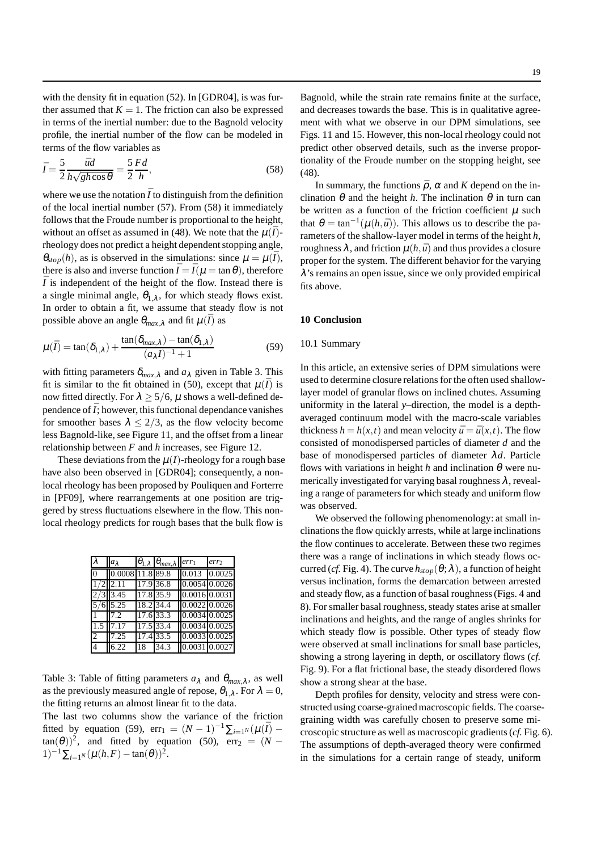with the density fit in equation (52). In [GDR04], is was further assumed that  $K = 1$ . The friction can also be expressed in terms of the inertial number: due to the Bagnold velocity profile, the inertial number of the flow can be modeled in terms of the flow variables as

$$
\bar{I} = \frac{5}{2} \frac{\bar{u}d}{h\sqrt{gh\cos\theta}} = \frac{5}{2} \frac{Fd}{h},\tag{58}
$$

where we use the notation  $\bar{I}$  to distinguish from the definition of the local inertial number (57). From (58) it immediately follows that the Froude number is proportional to the height, without an offset as assumed in (48). We note that the  $\mu(\bar{I})$ rheology does not predict a height dependent stopping angle,  $\theta_{stop}(h)$ , as is observed in the simulations: since  $\mu = \mu(\bar{I})$ , there is also and inverse function  $\bar{I} = \bar{I}(\mu = \tan \theta)$ , therefore  $\bar{I}$  is independent of the height of the flow. Instead there is a single minimal angle,  $\theta_{1,\lambda}$ , for which steady flows exist. In order to obtain a fit, we assume that steady flow is not possible above an angle  $\theta_{max,\lambda}$  and fit  $\mu(\bar{I})$  as

$$
\mu(\bar{I}) = \tan(\delta_{1,\lambda}) + \frac{\tan(\delta_{\max,\lambda}) - \tan(\delta_{1,\lambda})}{(a_{\lambda}\bar{I})^{-1} + 1}
$$
(59)

with fitting parameters  $\delta_{max,\lambda}$  and  $a_{\lambda}$  given in Table 3. This fit is similar to the fit obtained in (50), except that  $\mu(\bar{I})$  is now fitted directly. For  $\lambda \geq 5/6$ ,  $\mu$  shows a well-defined dependence of  $\bar{I}$ ; however, this functional dependance vanishes for smoother bases  $\lambda \leq 2/3$ , as the flow velocity become less Bagnold-like, see Figure 11, and the offset from a linear relationship between *F* and *h* increases, see Figure 12.

These deviations from the  $\mu(I)$ -rheology for a rough base have also been observed in [GDR04]; consequently, a nonlocal rheology has been proposed by Pouliquen and Forterre in [PF09], where rearrangements at one position are triggered by stress fluctuations elsewhere in the flow. This nonlocal rheology predicts for rough bases that the bulk flow is

|                | $a_{\lambda}$    |           | $\theta_{1,\lambda}$ $\theta_{max,\lambda}$ | $err_1$         | err <sub>2</sub> |
|----------------|------------------|-----------|---------------------------------------------|-----------------|------------------|
| $\theta$       | 0.0008 11.8 89.8 |           |                                             | 0.013           | 0.0025           |
|                | $1/2$ 2.11       |           | 17.9 36.8                                   | $0.0054$ 0.0026 |                  |
|                | $2/3$ 3.45       | 17.8 35.9 |                                             | $0.0016$ 0.0031 |                  |
|                | $5/6$ 5.25       | 18.2 34.4 |                                             | $0.0022$ 0.0026 |                  |
| $\mathbf{1}$   | $\Pi$ .2         | 17.6 33.3 |                                             | 0.0034 0.0025   |                  |
|                | $1.5$   $7.17$   |           | 17.5 33.4                                   | 0.0034 0.0025   |                  |
| $\overline{c}$ | 17.25            | 17.4 33.5 |                                             | $0.0033$ 0.0025 |                  |
| 4              | 6.22             | 18        | 34.3                                        | $0.0031$ 0.0027 |                  |

Table 3: Table of fitting parameters  $a_{\lambda}$  and  $\theta_{max,\lambda}$ , as well as the previously measured angle of repose,  $\theta_{1,\lambda}$ . For  $\lambda = 0$ , the fitting returns an almost linear fit to the data.

The last two columns show the variance of the friction fitted by equation (59),  $err_1 = (N - 1)^{-1} \sum_{i=1}^{N} (\mu(\bar{I}) \tan(\theta)$ <sup>2</sup>, and fitted by equation (50), err<sub>2</sub> = (*N* − 1)<sup>-1</sup>  $\sum_{i=1^N} (\mu(h,F) - \tan(\theta))^2$ .

Bagnold, while the strain rate remains finite at the surface, and decreases towards the base. This is in qualitative agreement with what we observe in our DPM simulations, see Figs. 11 and 15. However, this non-local rheology could not predict other observed details, such as the inverse proportionality of the Froude number on the stopping height, see (48).

In summary, the functions  $\bar{\rho}$ ,  $\alpha$  and *K* depend on the inclination  $\theta$  and the height *h*. The inclination  $\theta$  in turn can be written as a function of the friction coefficient  $\mu$  such that  $\theta = \tan^{-1}(\mu(h, \bar{u}))$ . This allows us to describe the parameters of the shallow-layer model in terms of the height *h*, roughness  $\lambda$ , and friction  $\mu(h,\bar{u})$  and thus provides a closure proper for the system. The different behavior for the varying  $\lambda$ 's remains an open issue, since we only provided empirical fits above.

#### **10 Conclusion**

#### 10.1 Summary

In this article, an extensive series of DPM simulations were used to determine closure relations for the often used shallowlayer model of granular flows on inclined chutes. Assuming uniformity in the lateral *y*–direction, the model is a depthaveraged continuum model with the macro-scale variables thickness  $h = h(x, t)$  and mean velocity  $\bar{u} = \bar{u}(x, t)$ . The flow consisted of monodispersed particles of diameter *d* and the base of monodispersed particles of diameter λ*d*. Particle flows with variations in height *h* and inclination  $\theta$  were numerically investigated for varying basal roughness  $\lambda$ , revealing a range of parameters for which steady and uniform flow was observed.

We observed the following phenomenology: at small inclinations the flow quickly arrests, while at large inclinations the flow continues to accelerate. Between these two regimes there was a range of inclinations in which steady flows occurred (*cf.* Fig. 4). The curve  $h_{stop}(\theta; \lambda)$ , a function of height versus inclination, forms the demarcation between arrested and steady flow, as a function of basal roughness (Figs. 4 and 8). For smaller basal roughness, steady states arise at smaller inclinations and heights, and the range of angles shrinks for which steady flow is possible. Other types of steady flow were observed at small inclinations for small base particles, showing a strong layering in depth, or oscillatory flows (*cf.* Fig. 9). For a flat frictional base, the steady disordered flows show a strong shear at the base.

Depth profiles for density, velocity and stress were constructed using coarse-grained macroscopic fields. The coarsegraining width was carefully chosen to preserve some microscopic structure as well as macroscopic gradients (*cf.* Fig. 6). The assumptions of depth-averaged theory were confirmed in the simulations for a certain range of steady, uniform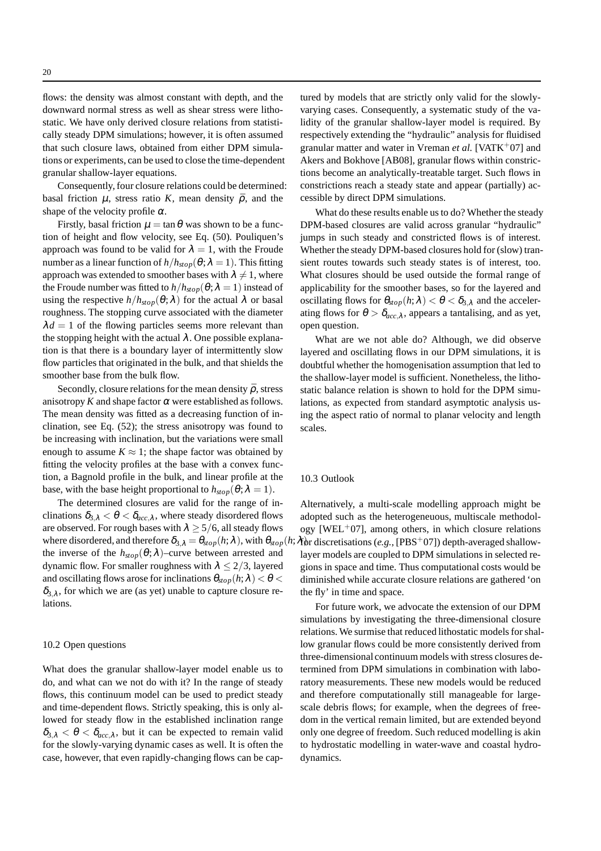flows: the density was almost constant with depth, and the downward normal stress as well as shear stress were lithostatic. We have only derived closure relations from statistically steady DPM simulations; however, it is often assumed that such closure laws, obtained from either DPM simulations or experiments, can be used to close the time-dependent granular shallow-layer equations.

Consequently, four closure relations could be determined: basal friction  $\mu$ , stress ratio K, mean density  $\bar{\rho}$ , and the shape of the velocity profile  $\alpha$ .

Firstly, basal friction  $\mu = \tan \theta$  was shown to be a function of height and flow velocity, see Eq. (50). Pouliquen's approach was found to be valid for  $\lambda = 1$ , with the Froude number as a linear function of  $h/h_{stop}(\theta; \lambda = 1)$ . This fitting approach was extended to smoother bases with  $\lambda \neq 1$ , where the Froude number was fitted to  $h/h_{stop}(\theta; \lambda = 1)$  instead of using the respective  $h/h_{stop}(\theta; \lambda)$  for the actual  $\lambda$  or basal roughness. The stopping curve associated with the diameter  $\lambda d = 1$  of the flowing particles seems more relevant than the stopping height with the actual  $\lambda$ . One possible explanation is that there is a boundary layer of intermittently slow flow particles that originated in the bulk, and that shields the smoother base from the bulk flow.

Secondly, closure relations for the mean density  $\bar{\rho}$ , stress anisotropy *K* and shape factor  $\alpha$  were established as follows. The mean density was fitted as a decreasing function of inclination, see Eq. (52); the stress anisotropy was found to be increasing with inclination, but the variations were small enough to assume  $K \approx 1$ ; the shape factor was obtained by fitting the velocity profiles at the base with a convex function, a Bagnold profile in the bulk, and linear profile at the base, with the base height proportional to  $h_{stop}(\theta; \lambda = 1)$ .

The determined closures are valid for the range of inclinations  $\delta_{3,\lambda} < \theta < \delta_{acc,\lambda}$ , where steady disordered flows are observed. For rough bases with  $\lambda \geq 5/6$ , all steady flows where disordered, and therefore  $\delta_{3,\lambda} = \theta_{stop}(h;\lambda)$ , with  $\theta_{stop}(h;\lambda)$  discretisations (e.g., [PBS<sup>+</sup>07]) depth-averaged shallowthe inverse of the  $h_{stop}(\theta; \lambda)$ –curve between arrested and dynamic flow. For smaller roughness with  $\lambda \leq 2/3$ , layered and oscillating flows arose for inclinations  $\theta_{stop}(h;\lambda) < \theta <$  $\delta_{3,\lambda}$ , for which we are (as yet) unable to capture closure relations.

# 10.2 Open questions

What does the granular shallow-layer model enable us to do, and what can we not do with it? In the range of steady flows, this continuum model can be used to predict steady and time-dependent flows. Strictly speaking, this is only allowed for steady flow in the established inclination range  $\delta_{3,\lambda} < \theta < \delta_{acc,\lambda}$ , but it can be expected to remain valid for the slowly-varying dynamic cases as well. It is often the case, however, that even rapidly-changing flows can be captured by models that are strictly only valid for the slowlyvarying cases. Consequently, a systematic study of the validity of the granular shallow-layer model is required. By respectively extending the "hydraulic" analysis for fluidised granular matter and water in Vreman *et al.* [VATK<sup>+</sup>07] and Akers and Bokhove [AB08], granular flows within constrictions become an analytically-treatable target. Such flows in constrictions reach a steady state and appear (partially) accessible by direct DPM simulations.

What do these results enable us to do? Whether the steady DPM-based closures are valid across granular "hydraulic" jumps in such steady and constricted flows is of interest. Whether the steady DPM-based closures hold for (slow) transient routes towards such steady states is of interest, too. What closures should be used outside the formal range of applicability for the smoother bases, so for the layered and oscillating flows for  $\theta_{stop}(h;\lambda) < \theta < \delta_{3,\lambda}$  and the accelerating flows for  $\theta > \delta_{acc,\lambda}$ , appears a tantalising, and as yet, open question.

What are we not able do? Although, we did observe layered and oscillating flows in our DPM simulations, it is doubtful whether the homogenisation assumption that led to the shallow-layer model is sufficient. Nonetheless, the lithostatic balance relation is shown to hold for the DPM simulations, as expected from standard asymptotic analysis using the aspect ratio of normal to planar velocity and length scales.

#### 10.3 Outlook

Alternatively, a multi-scale modelling approach might be adopted such as the heterogeneuous, multiscale methodology [WEL<sup>+</sup>07], among others, in which closure relations layer models are coupled to DPM simulations in selected regions in space and time. Thus computational costs would be diminished while accurate closure relations are gathered 'on the fly' in time and space.

For future work, we advocate the extension of our DPM simulations by investigating the three-dimensional closure relations. We surmise that reduced lithostatic models for shallow granular flows could be more consistently derived from three-dimensional continuum models with stress closures determined from DPM simulations in combination with laboratory measurements. These new models would be reduced and therefore computationally still manageable for largescale debris flows; for example, when the degrees of freedom in the vertical remain limited, but are extended beyond only one degree of freedom. Such reduced modelling is akin to hydrostatic modelling in water-wave and coastal hydrodynamics.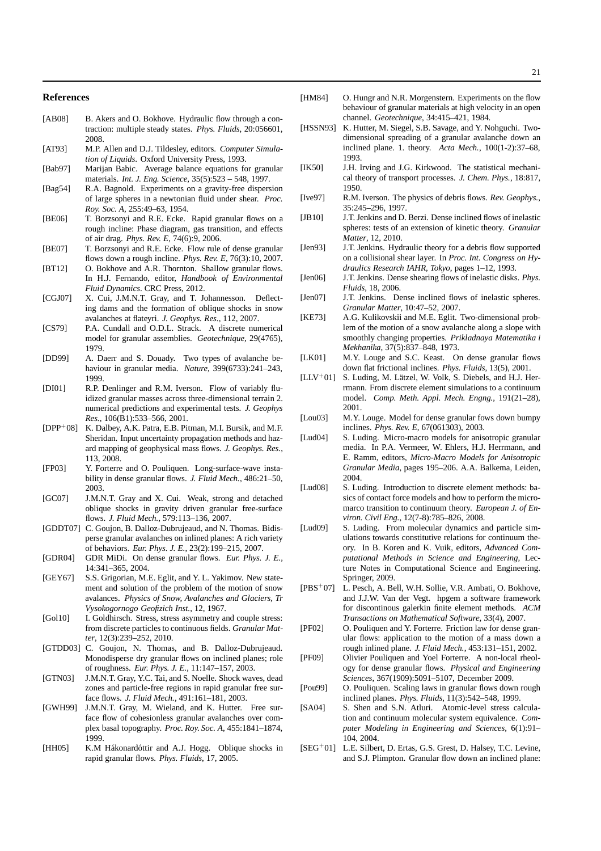## **References**

- [AB08] B. Akers and O. Bokhove. Hydraulic flow through a contraction: multiple steady states. *Phys. Fluids*, 20:056601, 2008.
- [AT93] M.P. Allen and D.J. Tildesley, editors. *Computer Simulation of Liquids*. Oxford University Press, 1993.
- [Bab97] Marijan Babic. Average balance equations for granular materials. *Int. J. Eng. Science*, 35(5):523 – 548, 1997.
- [Bag54] R.A. Bagnold. Experiments on a gravity-free dispersion of large spheres in a newtonian fluid under shear. *Proc. Roy. Soc. A*, 255:49–63, 1954.
- [BE06] T. Borzsonyi and R.E. Ecke. Rapid granular flows on a rough incline: Phase diagram, gas transition, and effects of air drag. *Phys. Rev. E*, 74(6):9, 2006.
- [BE07] T. Borzsonyi and R.E. Ecke. Flow rule of dense granular flows down a rough incline. *Phys. Rev. E*, 76(3):10, 2007.
- [BT12] O. Bokhove and A.R. Thornton. Shallow granular flows. In H.J. Fernando, editor, *Handbook of Environmental Fluid Dynamics*. CRC Press, 2012.
- [CGJ07] X. Cui, J.M.N.T. Gray, and T. Johannesson. Deflecting dams and the formation of oblique shocks in snow avalanches at flateyri. *J. Geophys. Res.*, 112, 2007.
- [CS79] P.A. Cundall and O.D.L. Strack. A discrete numerical model for granular assemblies. *Geotechnique*, 29(4765), 1979.
- [DD99] A. Daerr and S. Douady. Two types of avalanche behaviour in granular media. *Nature*, 399(6733):241–243, 1999.
- [DI01] R.P. Denlinger and R.M. Iverson. Flow of variably fluidized granular masses across three-dimensional terrain 2. numerical predictions and experimental tests. *J. Geophys Res.*, 106(B1):533–566, 2001.
- [DPP+08] K. Dalbey, A.K. Patra, E.B. Pitman, M.I. Bursik, and M.F. Sheridan. Input uncertainty propagation methods and hazard mapping of geophysical mass flows. *J. Geophys. Res.*, 113, 2008.
- [FP03] Y. Forterre and O. Pouliquen. Long-surface-wave instability in dense granular flows. *J. Fluid Mech.*, 486:21–50, 2003.
- [GC07] J.M.N.T. Gray and X. Cui. Weak, strong and detached oblique shocks in gravity driven granular free-surface flows. *J. Fluid Mech.*, 579:113–136, 2007.
- [GDDT07] C. Goujon, B. Dalloz-Dubrujeaud, and N. Thomas. Bidisperse granular avalanches on inlined planes: A rich variety of behaviors. *Eur. Phys. J. E.*, 23(2):199–215, 2007.
- [GDR04] GDR MiDi. On dense granular flows. *Eur. Phys. J. E.*, 14:341–365, 2004.
- [GEY67] S.S. Grigorian, M.E. Eglit, and Y. L. Yakimov. New statement and solution of the problem of the motion of snow avalances. *Physics of Snow, Avalanches and Glaciers, Tr Vysokogornogo Geofizich Inst.*, 12, 1967.
- [Gol10] I. Goldhirsch. Stress, stress asymmetry and couple stress: from discrete particles to continuous fields. *Granular Matter*, 12(3):239–252, 2010.
- [GTDD03] C. Goujon, N. Thomas, and B. Dalloz-Dubrujeaud. Monodisperse dry granular flows on inclined planes; role of roughness. *Eur. Phys. J. E.*, 11:147–157, 2003.
- [GTN03] J.M.N.T. Gray, Y.C. Tai, and S. Noelle. Shock waves, dead zones and particle-free regions in rapid granular free surface flows. *J. Fluid Mech.*, 491:161–181, 2003.
- [GWH99] J.M.N.T. Gray, M. Wieland, and K. Hutter. Free surface flow of cohesionless granular avalanches over complex basal topography. *Proc. Roy. Soc. A*, 455:1841–1874, 1999.
- [HH05] K.M Hákonardóttir and A.J. Hogg. Oblique shocks in rapid granular flows. *Phys. Fluids*, 17, 2005.
- [HM84] O. Hungr and N.R. Morgenstern. Experiments on the flow behaviour of granular materials at high velocity in an open channel. *Geotechnique*, 34:415–421, 1984.
- [HSSN93] K. Hutter, M. Siegel, S.B. Savage, and Y. Nohguchi. Twodimensional spreading of a granular avalanche down an inclined plane. 1. theory. *Acta Mech.*, 100(1-2):37–68, 1993.
- [IK50] J.H. Irving and J.G. Kirkwood. The statistical mechanical theory of transport processes. *J. Chem. Phys.*, 18:817, 1950.
- [Ive97] R.M. Iverson. The physics of debris flows. *Rev. Geophys.*, 35:245–296, 1997.
- [JB10] J.T. Jenkins and D. Berzi. Dense inclined flows of inelastic spheres: tests of an extension of kinetic theory. *Granular Matter*, 12, 2010.
- [Jen93] J.T. Jenkins. Hydraulic theory for a debris flow supported on a collisional shear layer. In *Proc. Int. Congress on Hydraulics Research IAHR, Tokyo*, pages 1–12, 1993.
- [Jen06] J.T. Jenkins. Dense shearing flows of inelastic disks. *Phys. Fluids*, 18, 2006.
- [Jen07] J.T. Jenkins. Dense inclined flows of inelastic spheres. *Granular Matter*, 10:47–52, 2007.
- [KE73] A.G. Kulikovskii and M.E. Eglit. Two-dimensional problem of the motion of a snow avalanche along a slope with smoothly changing properties. *Prikladnaya Matematika i Mekhanika*, 37(5):837–848, 1973.
- [LK01] M.Y. Louge and S.C. Keast. On dense granular flows down flat frictional inclines. *Phys. Fluids*, 13(5), 2001.
- $[LLV<sup>+</sup>01]$  S. Luding, M. Lätzel, W. Volk, S. Diebels, and H.J. Herrmann. From discrete element simulations to a continuum model. *Comp. Meth. Appl. Mech. Engng.*, 191(21–28), 2001.
- [Lou03] M.Y. Louge. Model for dense granular fows down bumpy inclines. *Phys. Rev. E*, 67(061303), 2003.
- [Lud04] S. Luding. Micro-macro models for anisotropic granular media. In P.A. Vermeer, W. Ehlers, H.J. Herrmann, and E. Ramm, editors, *Micro-Macro Models for Anisotropic Granular Media*, pages 195–206. A.A. Balkema, Leiden, 2004.
- [Lud08] S. Luding. Introduction to discrete element methods: basics of contact force models and how to perform the micromarco transition to continuum theory. *European J. of Environ. Civil Eng.*, 12(7-8):785–826, 2008.
- [Lud09] S. Luding. From molecular dynamics and particle simulations towards constitutive relations for continuum theory. In B. Koren and K. Vuik, editors, *Advanced Computational Methods in Science and Engineering*, Lecture Notes in Computational Science and Engineering. Springer, 2009.
- [PBS+07] L. Pesch, A. Bell, W.H. Sollie, V.R. Ambati, O. Bokhove, and J.J.W. Van der Vegt. hpgem a software framework for discontinous galerkin finite element methods. *ACM Transactions on Mathematical Software*, 33(4), 2007.
- [PF02] O. Pouliquen and Y. Forterre. Friction law for dense granular flows: application to the motion of a mass down a rough inlined plane. *J. Fluid Mech.*, 453:131–151, 2002.
- [PF09] Olivier Pouliquen and Yoel Forterre. A non-local rheology for dense granular flows. *Physical and Engineering Sciences*, 367(1909):5091–5107, December 2009.
- [Pou99] O. Pouliquen. Scaling laws in granular flows down rough inclined planes. *Phys. Fluids*, 11(3):542–548, 1999.
- [SA04] S. Shen and S.N. Atluri. Atomic-level stress calculation and continuum molecular system equivalence. *Computer Modeling in Engineering and Sciences*, 6(1):91– 104, 2004.
- [SEG<sup>+</sup>01] L.E. Silbert, D. Ertas, G.S. Grest, D. Halsey, T.C. Levine, and S.J. Plimpton. Granular flow down an inclined plane: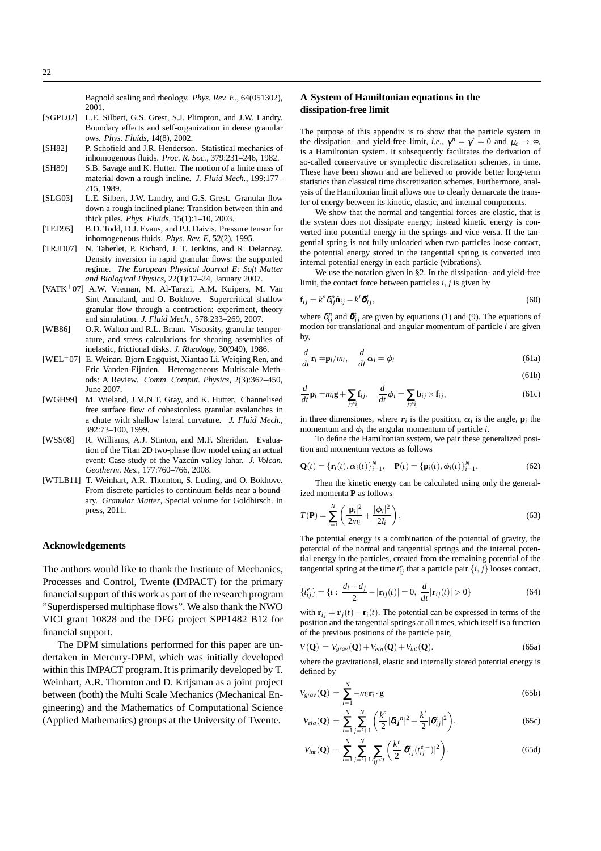Bagnold scaling and rheology. *Phys. Rev. E.*, 64(051302), 2001.

- [SGPL02] L.E. Silbert, G.S. Grest, S.J. Plimpton, and J.W. Landry. Boundary effects and self-organization in dense granular ows. *Phys. Fluids*, 14(8), 2002.
- [SH82] P. Schofield and J.R. Henderson. Statistical mechanics of inhomogenous fluids. *Proc. R. Soc.*, 379:231–246, 1982.
- [SH89] S.B. Savage and K. Hutter. The motion of a finite mass of material down a rough incline. *J. Fluid Mech.*, 199:177– 215, 1989.
- [SLG03] L.E. Silbert, J.W. Landry, and G.S. Grest. Granular flow down a rough inclined plane: Transition between thin and thick piles. *Phys. Fluids*, 15(1):1–10, 2003.
- [TED95] B.D. Todd, D.J. Evans, and P.J. Daivis. Pressure tensor for inhomogeneous fluids. *Phys. Rev. E*, 52(2), 1995.
- [TRJD07] N. Taberlet, P. Richard, J. T. Jenkins, and R. Delannay. Density inversion in rapid granular flows: the supported regime. *The European Physical Journal E: Soft Matter and Biological Physics*, 22(1):17–24, January 2007.
- [VATK+07] A.W. Vreman, M. Al-Tarazi, A.M. Kuipers, M. Van Sint Annaland, and O. Bokhove. Supercritical shallow granular flow through a contraction: experiment, theory and simulation. *J. Fluid Mech.*, 578:233–269, 2007.
- [WB86] O.R. Walton and R.L. Braun. Viscosity, granular temperature, and stress calculations for shearing assemblies of inelastic, frictional disks. *J. Rheology*, 30(949), 1986.
- [WEL+07] E. Weinan, Bjorn Engquist, Xiantao Li, Weiqing Ren, and Eric Vanden-Eijnden. Heterogeneous Multiscale Methods: A Review. *Comm. Comput. Physics*, 2(3):367–450, June 2007.
- [WGH99] M. Wieland, J.M.N.T. Gray, and K. Hutter. Channelised free surface flow of cohesionless granular avalanches in a chute with shallow lateral curvature. *J. Fluid Mech.*, 392:73–100, 1999.
- [WSS08] R. Williams, A.J. Stinton, and M.F. Sheridan. Evaluation of the Titan 2D two-phase flow model using an actual event: Case study of the Vazcún valley lahar. *J. Volcan. Geotherm. Res.*, 177:760–766, 2008.
- [WTLB11] T. Weinhart, A.R. Thornton, S. Luding, and O. Bokhove. From discrete particles to continuum fields near a boundary. *Granular Matter*, Special volume for Goldhirsch. In press, 2011.

## **Acknowledgements**

The authors would like to thank the Institute of Mechanics, Processes and Control, Twente (IMPACT) for the primary financial support of this work as part of the research program "Superdispersed multiphase flows". We also thank the NWO VICI grant 10828 and the DFG project SPP1482 B12 for financial support.

The DPM simulations performed for this paper are undertaken in Mercury-DPM, which was initially developed within this IMPACT program. It is primarily developed by T. Weinhart, A.R. Thornton and D. Krijsman as a joint project between (both) the Multi Scale Mechanics (Mechanical Engineering) and the Mathematics of Computational Science (Applied Mathematics) groups at the University of Twente.

# **A System of Hamiltonian equations in the dissipation-free limit**

The purpose of this appendix is to show that the particle system in the dissipation- and yield-free limit, *i.e.*,  $\gamma^n = \gamma^t = 0$  and  $\mu_c \to \infty$ , is a Hamiltonian system. It subsequently facilitates the derivation of so-called conservative or symplectic discretization schemes, in time. These have been shown and are believed to provide better long-term statistics than classical time discretization schemes. Furthermore, analysis of the Hamiltonian limit allows one to clearly demarcate the transfer of energy between its kinetic, elastic, and internal components.

We show that the normal and tangential forces are elastic, that is the system does not dissipate energy; instead kinetic energy is converted into potential energy in the springs and vice versa. If the tangential spring is not fully unloaded when two particles loose contact, the potential energy stored in the tangential spring is converted into internal potential energy in each particle (vibrations).

We use the notation given in §2. In the dissipation- and yield-free limit, the contact force between particles *i*, *j* is given by

$$
\mathbf{f}_{ij} = k^n \delta_{ij}^n \hat{\mathbf{n}}_{ij} - k^t \delta_{ij}^t, \tag{60}
$$

where  $\delta_{ij}^n$  and  $\delta_{ij}^t$  are given by equations (1) and (9). The equations of motion for translational and angular momentum of particle *i* are given by,

$$
\frac{d}{dt}\mathbf{r}_i = \mathbf{p}_i/m_i, \quad \frac{d}{dt}\alpha_i = \phi_i
$$
\n(61a)

$$
(61b)
$$

$$
\frac{d}{dt}\mathbf{p}_i = m_i \mathbf{g} + \sum_{j \neq i} \mathbf{f}_{ij}, \quad \frac{d}{dt}\phi_i = \sum_{j \neq i} \mathbf{b}_{ij} \times \mathbf{f}_{ij},
$$
\n(61c)

in three dimensiones, where  $r_i$  is the position,  $\alpha_i$  is the angle,  $p_i$  the momentum and  $\phi_i$  the angular momentum of particle *i*.

To define the Hamiltonian system, we pair these generalized position and momentum vectors as follows

$$
\mathbf{Q}(t) = {\mathbf{r}_i(t), \alpha_i(t)}_{i=1}^N, \quad \mathbf{P}(t) = {\mathbf{p}_i(t), \phi_i(t)}_{i=1}^N.
$$
 (62)

Then the kinetic energy can be calculated using only the generalized momenta **P** as follows

$$
T(\mathbf{P}) = \sum_{i=1}^{N} \left( \frac{|\mathbf{p}_i|^2}{2m_i} + \frac{|\phi_i|^2}{2l_i} \right).
$$
 (63)

The potential energy is a combination of the potential of gravity, the potential of the normal and tangential springs and the internal potential energy in the particles, created from the remaining potential of the tangential spring at the time  $t_{ij}^e$  that a particle pair  $\{i, j\}$  looses contact,

$$
\{t_{ij}^e\} = \{t: \frac{d_i + d_j}{2} - |\mathbf{r}_{ij}(t)| = 0, \frac{d}{dt} |\mathbf{r}_{ij}(t)| > 0\}
$$
 (64)

with  $\mathbf{r}_{ij} = \mathbf{r}_i(t) - \mathbf{r}_i(t)$ . The potential can be expressed in terms of the position and the tangential springs at all times, which itself is a function of the previous positions of the particle pair,

$$
V(\mathbf{Q}) = V_{grav}(\mathbf{Q}) + V_{ela}(\mathbf{Q}) + V_{int}(\mathbf{Q}).
$$
\n(65a)

where the gravitational, elastic and internally stored potential energy is defined by

$$
V_{grav}(\mathbf{Q}) = \sum_{i=1}^{N} -m_i \mathbf{r}_i \cdot \mathbf{g}
$$
 (65b)

$$
V_{ela}(\mathbf{Q}) = \sum_{i=1}^{N} \sum_{j=i+1}^{N} \left( \frac{k^n}{2} |\mathbf{\delta}_{ij}^n|^2 + \frac{k^t}{2} |\mathbf{\delta}_{ij}^t|^2 \right).
$$
 (65c)

$$
V_{int}(\mathbf{Q}) = \sum_{i=1}^{N} \sum_{j=i+1}^{N} \sum_{t_{ij}^e < t} \left( \frac{k^t}{2} |\mathbf{\delta}_{ij}^t(t_{ij}^{e^-})|^2 \right).
$$
 (65d)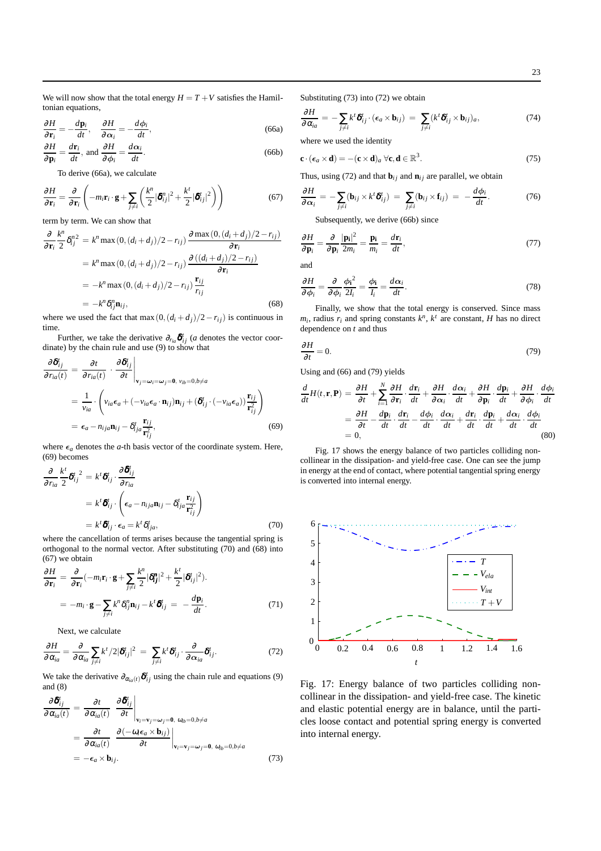We will now show that the total energy  $H = T + V$  satisfies the Hamiltonian equations,

$$
\frac{\partial H}{\partial \mathbf{r}_i} = -\frac{d\mathbf{p}_i}{dt}, \quad \frac{\partial H}{\partial \alpha_i} = -\frac{d\phi_i}{dt},\tag{66a}
$$

$$
\frac{\partial H}{\partial \mathbf{p}_i} = \frac{d\mathbf{r}_i}{dt}, \text{ and } \frac{\partial H}{\partial \phi_i} = \frac{d\alpha_i}{dt}.
$$
 (66b)

To derive (66a), we calculate

$$
\frac{\partial H}{\partial \mathbf{r}_i} = \frac{\partial}{\partial \mathbf{r}_i} \left( -m_i \mathbf{r}_i \cdot \mathbf{g} + \sum_{j \neq i} \left( \frac{k^n}{2} |\boldsymbol{\delta}_{ij}^n|^2 + \frac{k^t}{2} |\boldsymbol{\delta}_{ij}^t|^2 \right) \right)
$$
(67)

term by term. We can show that

$$
\frac{\partial}{\partial \mathbf{r}_i} \frac{k^n}{2} \delta_{ij}^{n^2} = k^n \max(0, (d_i + d_j)/2 - r_{ij}) \frac{\partial \max(0, (d_i + d_j)/2 - r_{ij})}{\partial \mathbf{r}_i}
$$

$$
= k^n \max(0, (d_i + d_j)/2 - r_{ij}) \frac{\partial ((d_i + d_j)/2 - r_{ij})}{\partial \mathbf{r}_i}
$$

$$
= -k^n \max(0, (d_i + d_j)/2 - r_{ij}) \frac{\mathbf{r}_{ij}}{r_{ij}}
$$

$$
= -k^n \delta_{ij}^n \mathbf{n}_{ij}, \tag{68}
$$

where we used the fact that max  $(0, (d_i + d_j)/2 - r_{ij})$  is continuous in time.

Further, we take the derivative  $\partial_{r_{ia}}\delta_{ij}^{t}$  (*a* denotes the vector coordinate) by the chain rule and use (9) to show that

$$
\frac{\partial \delta_{ij}^t}{\partial r_{ia}(t)} = \frac{\partial t}{\partial r_{ia}(t)} \cdot \frac{\partial \delta_{ij}^t}{\partial t}\Big|_{\mathbf{v}_j = \omega_i = \omega_j = \mathbf{0}, v_{ib} = 0, b \neq a}
$$
\n
$$
= \frac{1}{v_{ia}} \cdot \left( v_{ia} \epsilon_a + (-v_{ia} \epsilon_a \cdot \mathbf{n}_{ij}) \mathbf{n}_{ij} + (\delta_{ij}^t \cdot (-v_{ia} \epsilon_a)) \frac{\mathbf{r}_{ij}}{\mathbf{r}_{ij}^2} \right)
$$
\n
$$
= \epsilon_a - n_{ija} \mathbf{n}_{ij} - \delta_{ij}^t \frac{\mathbf{r}_{ij}}{\mathbf{r}_{ij}^2},
$$
\n(69)

where  $\epsilon_a$  denotes the *a*-th basis vector of the coordinate system. Here, (69) becomes

$$
\frac{\partial}{\partial r_{ia}} \frac{k^t}{2} \delta_{ij}^t{}^2 = k^t \delta_{ij}^t \cdot \frac{\partial \delta_{ij}^t}{\partial r_{ia}}
$$
  
=  $k^t \delta_{ij}^t \cdot \left(\epsilon_a - n_{ija} \mathbf{n}_{ij} - \delta_{ija}^t \frac{\mathbf{r}_{ij}}{\mathbf{r}_{ij}^2}\right)$   
=  $k^t \delta_{ij}^t \cdot \epsilon_a = k^t \delta_{ija}^t$ , (70)

where the cancellation of terms arises because the tangential spring is orthogonal to the normal vector. After substituting (70) and (68) into (67) we obtain

$$
\frac{\partial H}{\partial \mathbf{r}_i} = \frac{\partial}{\partial \mathbf{r}_i} (-m_i \mathbf{r}_i \cdot \mathbf{g} + \sum_{j \neq i} \frac{k^n}{2} |\delta_{ij}^n|^2 + \frac{k^t}{2} |\delta_{ij}^t|^2).
$$
  
= 
$$
-m_i \cdot \mathbf{g} - \sum_{j \neq i} k^n \delta_{ij}^n \mathbf{n}_{ij} - k^t \delta_{ij}^t = -\frac{d\mathbf{p}_i}{dt}.
$$
 (71)

Next, we calculate

$$
\frac{\partial H}{\partial \alpha_{ia}} = \frac{\partial}{\partial \alpha_{ia}} \sum_{j \neq i} k^t / 2 |\boldsymbol{\delta}_{ij}^t|^2 = \sum_{j \neq i} k^t \boldsymbol{\delta}_{ij}^t \cdot \frac{\partial}{\partial \alpha_{ia}} \boldsymbol{\delta}_{ij}^t.
$$
(72)

We take the derivative  $\partial_{\alpha_{i\alpha}(t)} \delta_{ij}^t$  using the chain rule and equations (9) and (8)

$$
\frac{\partial \delta_{ij}^{\epsilon}}{\partial \alpha_{ia}(t)} = \frac{\partial t}{\partial \alpha_{ia}(t)} \left. \frac{\partial \delta_{ij}^{\epsilon}}{\partial t} \right|_{\mathbf{v}_i = \mathbf{v}_j = \boldsymbol{\omega}_j = \mathbf{0}, \omega_{ib} = 0, b \neq a}
$$
\n
$$
= \left. \frac{\partial t}{\partial \alpha_{ia}(t)} \frac{\partial (-\omega_i \epsilon_a \times \mathbf{b}_{ij})}{\partial t} \right|_{\mathbf{v}_i = \mathbf{v}_j = \boldsymbol{\omega}_j = \mathbf{0}, \omega_{ib} = 0, b \neq a}
$$
\n
$$
= -\epsilon_a \times \mathbf{b}_{ij}.
$$
\n(73)

Substituting (73) into (72) we obtain

$$
\frac{\partial H}{\partial \alpha_{ia}} = -\sum_{j \neq i} k^t \delta^t_{ij} \cdot (\epsilon_a \times \mathbf{b}_{ij}) = \sum_{j \neq i} (k^t \delta^t_{ij} \times \mathbf{b}_{ij})_a, \tag{74}
$$

where we used the identity

$$
\mathbf{c} \cdot (\boldsymbol{\epsilon}_a \times \mathbf{d}) = -(\mathbf{c} \times \mathbf{d})_a \ \forall \mathbf{c}, \mathbf{d} \in \mathbb{R}^3. \tag{75}
$$

Thus, using (72) and that  $\mathbf{b}_{ij}$  and  $\mathbf{n}_{ij}$  are parallel, we obtain

$$
\frac{\partial H}{\partial \alpha_i} = -\sum_{j \neq i} (\mathbf{b}_{ij} \times k^t \boldsymbol{\delta}_{ij}^t) = \sum_{j \neq i} (\mathbf{b}_{ij} \times \mathbf{f}_{ij}) = -\frac{d\phi_i}{dt}.
$$
 (76)

Subsequently, we derive (66b) since

$$
\frac{\partial H}{\partial \mathbf{p}_i} = \frac{\partial}{\partial \mathbf{p}_i} \frac{|\mathbf{p}_i|^2}{2m_i} = \frac{\mathbf{p_i}}{m_i} = \frac{d\mathbf{r}_i}{dt},\tag{77}
$$

and

$$
\frac{\partial H}{\partial \phi_i} = \frac{\partial}{\partial \phi_i} \frac{\phi_i^2}{2I_i} = \frac{\phi_i}{I_i} = \frac{d\alpha_i}{dt}.
$$
 (78)

Finally, we show that the total energy is conserved. Since mass  $m_i$ , radius  $r_i$  and spring constants  $k^n$ ,  $k^t$  are constant, *H* has no direct dependence on *t* and thus

$$
\frac{\partial H}{\partial t} = 0.\tag{79}
$$

Using and (66) and (79) yields

$$
\frac{d}{dt}H(t,\mathbf{r},\mathbf{P}) = \frac{\partial H}{\partial t} + \sum_{i=1}^{N} \frac{\partial H}{\partial \mathbf{r}_i} \cdot \frac{d\mathbf{r}_i}{dt} + \frac{\partial H}{\partial \alpha_i} \cdot \frac{d\alpha_i}{dt} + \frac{\partial H}{\partial \mathbf{p}_i} \cdot \frac{d\mathbf{p}_i}{dt} + \frac{\partial H}{\partial \phi_i} \cdot \frac{d\phi_i}{dt}
$$
\n
$$
= \frac{\partial H}{\partial t} - \frac{d\mathbf{p}_i}{dt} \cdot \frac{d\mathbf{r}_i}{dt} - \frac{d\phi_i}{dt} \cdot \frac{d\alpha_i}{dt} + \frac{d\mathbf{r}_i}{dt} \cdot \frac{d\mathbf{p}_i}{dt} + \frac{d\alpha_i}{dt} \cdot \frac{d\phi_i}{dt}
$$
\n
$$
= 0,
$$
\n(80)

Fig. 17 shows the energy balance of two particles colliding noncollinear in the dissipation- and yield-free case. One can see the jump in energy at the end of contact, where potential tangential spring energy is converted into internal energy.



Fig. 17: Energy balance of two particles colliding noncollinear in the dissipation- and yield-free case. The kinetic and elastic potential energy are in balance, until the particles loose contact and potential spring energy is converted into internal energy.